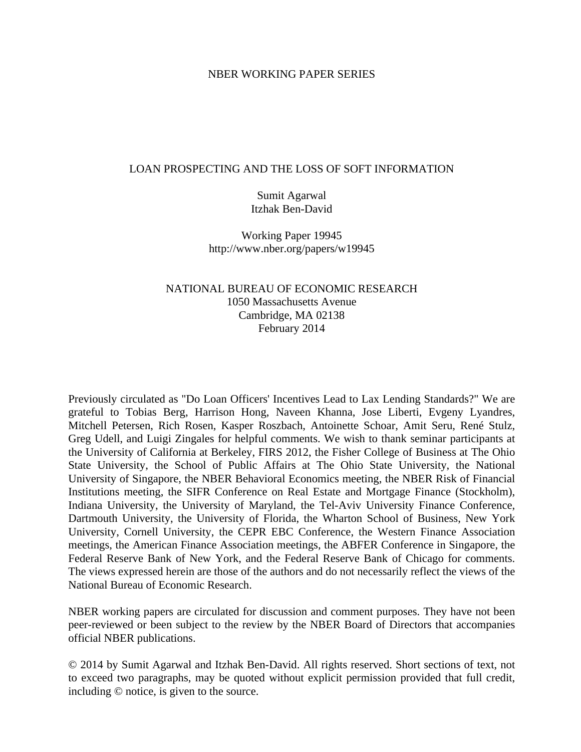#### NBER WORKING PAPER SERIES

#### LOAN PROSPECTING AND THE LOSS OF SOFT INFORMATION

Sumit Agarwal Itzhak Ben-David

Working Paper 19945 http://www.nber.org/papers/w19945

## NATIONAL BUREAU OF ECONOMIC RESEARCH 1050 Massachusetts Avenue Cambridge, MA 02138 February 2014

Previously circulated as "Do Loan Officers' Incentives Lead to Lax Lending Standards?" We are grateful to Tobias Berg, Harrison Hong, Naveen Khanna, Jose Liberti, Evgeny Lyandres, Mitchell Petersen, Rich Rosen, Kasper Roszbach, Antoinette Schoar, Amit Seru, René Stulz, Greg Udell, and Luigi Zingales for helpful comments. We wish to thank seminar participants at the University of California at Berkeley, FIRS 2012, the Fisher College of Business at The Ohio State University, the School of Public Affairs at The Ohio State University, the National University of Singapore, the NBER Behavioral Economics meeting, the NBER Risk of Financial Institutions meeting, the SIFR Conference on Real Estate and Mortgage Finance (Stockholm), Indiana University, the University of Maryland, the Tel-Aviv University Finance Conference, Dartmouth University, the University of Florida, the Wharton School of Business, New York University, Cornell University, the CEPR EBC Conference, the Western Finance Association meetings, the American Finance Association meetings, the ABFER Conference in Singapore, the Federal Reserve Bank of New York, and the Federal Reserve Bank of Chicago for comments. The views expressed herein are those of the authors and do not necessarily reflect the views of the National Bureau of Economic Research.

NBER working papers are circulated for discussion and comment purposes. They have not been peer-reviewed or been subject to the review by the NBER Board of Directors that accompanies official NBER publications.

© 2014 by Sumit Agarwal and Itzhak Ben-David. All rights reserved. Short sections of text, not to exceed two paragraphs, may be quoted without explicit permission provided that full credit, including © notice, is given to the source.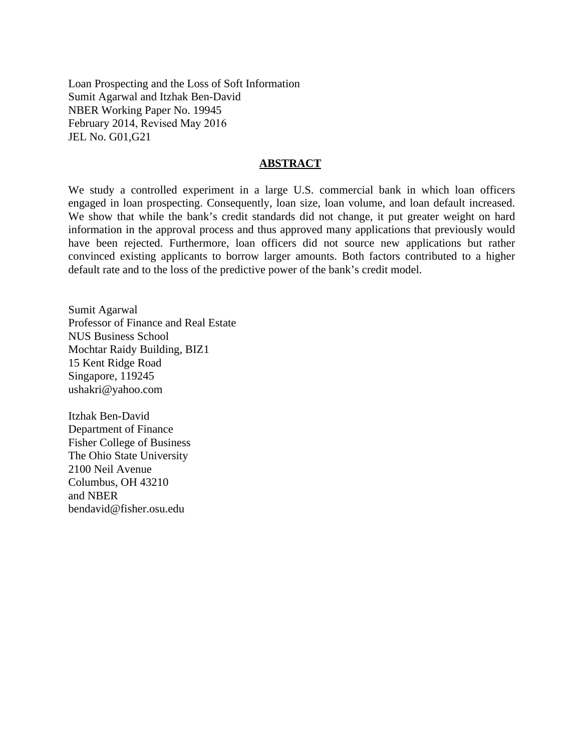Loan Prospecting and the Loss of Soft Information Sumit Agarwal and Itzhak Ben-David NBER Working Paper No. 19945 February 2014, Revised May 2016 JEL No. G01,G21

#### **ABSTRACT**

We study a controlled experiment in a large U.S. commercial bank in which loan officers engaged in loan prospecting. Consequently, loan size, loan volume, and loan default increased. We show that while the bank's credit standards did not change, it put greater weight on hard information in the approval process and thus approved many applications that previously would have been rejected. Furthermore, loan officers did not source new applications but rather convinced existing applicants to borrow larger amounts. Both factors contributed to a higher default rate and to the loss of the predictive power of the bank's credit model.

Sumit Agarwal Professor of Finance and Real Estate NUS Business School Mochtar Raidy Building, BIZ1 15 Kent Ridge Road Singapore, 119245 ushakri@yahoo.com

Itzhak Ben-David Department of Finance Fisher College of Business The Ohio State University 2100 Neil Avenue Columbus, OH 43210 and NBER bendavid@fisher.osu.edu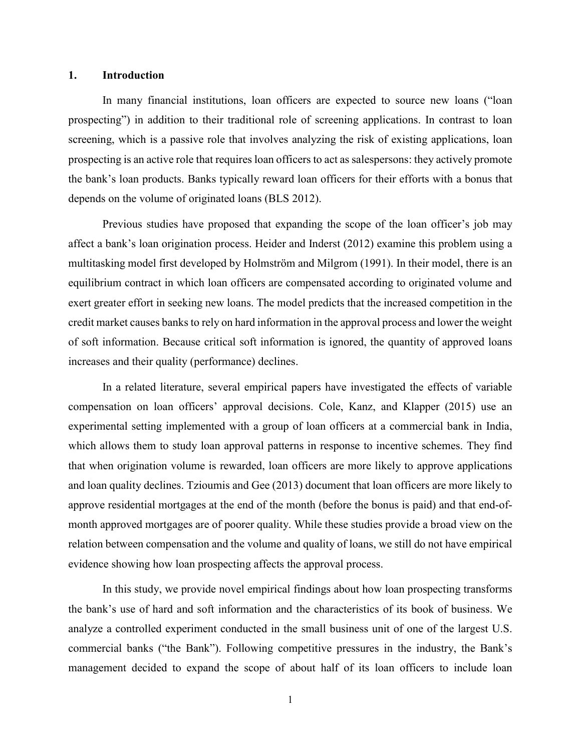#### **1. Introduction**

In many financial institutions, loan officers are expected to source new loans ("loan prospecting") in addition to their traditional role of screening applications. In contrast to loan screening, which is a passive role that involves analyzing the risk of existing applications, loan prospecting is an active role that requires loan officers to act as salespersons: they actively promote the bank's loan products. Banks typically reward loan officers for their efforts with a bonus that depends on the volume of originated loans (BLS 2012).

Previous studies have proposed that expanding the scope of the loan officer's job may affect a bank's loan origination process. Heider and Inderst (2012) examine this problem using a multitasking model first developed by Holmström and Milgrom (1991). In their model, there is an equilibrium contract in which loan officers are compensated according to originated volume and exert greater effort in seeking new loans. The model predicts that the increased competition in the credit market causes banks to rely on hard information in the approval process and lower the weight of soft information. Because critical soft information is ignored, the quantity of approved loans increases and their quality (performance) declines.

In a related literature, several empirical papers have investigated the effects of variable compensation on loan officers' approval decisions. Cole, Kanz, and Klapper (2015) use an experimental setting implemented with a group of loan officers at a commercial bank in India, which allows them to study loan approval patterns in response to incentive schemes. They find that when origination volume is rewarded, loan officers are more likely to approve applications and loan quality declines. Tzioumis and Gee (2013) document that loan officers are more likely to approve residential mortgages at the end of the month (before the bonus is paid) and that end-ofmonth approved mortgages are of poorer quality. While these studies provide a broad view on the relation between compensation and the volume and quality of loans, we still do not have empirical evidence showing how loan prospecting affects the approval process.

In this study, we provide novel empirical findings about how loan prospecting transforms the bank's use of hard and soft information and the characteristics of its book of business. We analyze a controlled experiment conducted in the small business unit of one of the largest U.S. commercial banks ("the Bank"). Following competitive pressures in the industry, the Bank's management decided to expand the scope of about half of its loan officers to include loan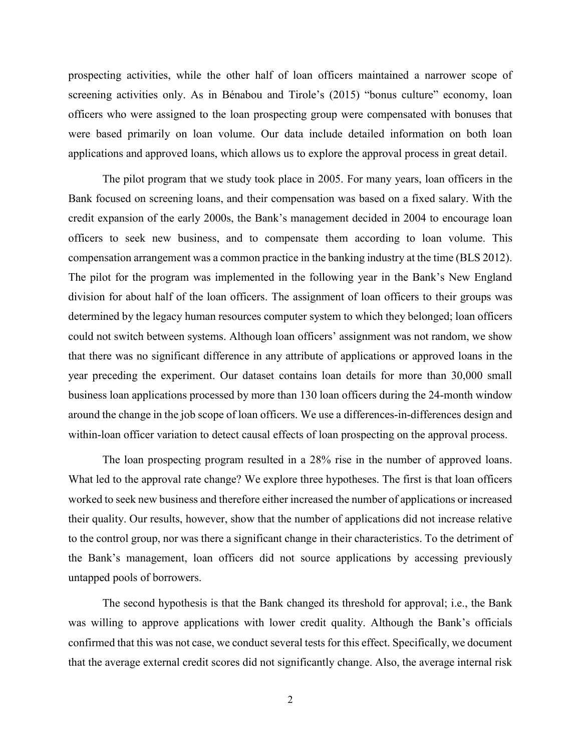prospecting activities, while the other half of loan officers maintained a narrower scope of screening activities only. As in Bénabou and Tirole's (2015) "bonus culture" economy, loan officers who were assigned to the loan prospecting group were compensated with bonuses that were based primarily on loan volume. Our data include detailed information on both loan applications and approved loans, which allows us to explore the approval process in great detail.

The pilot program that we study took place in 2005. For many years, loan officers in the Bank focused on screening loans, and their compensation was based on a fixed salary. With the credit expansion of the early 2000s, the Bank's management decided in 2004 to encourage loan officers to seek new business, and to compensate them according to loan volume. This compensation arrangement was a common practice in the banking industry at the time (BLS 2012). The pilot for the program was implemented in the following year in the Bank's New England division for about half of the loan officers. The assignment of loan officers to their groups was determined by the legacy human resources computer system to which they belonged; loan officers could not switch between systems. Although loan officers' assignment was not random, we show that there was no significant difference in any attribute of applications or approved loans in the year preceding the experiment. Our dataset contains loan details for more than 30,000 small business loan applications processed by more than 130 loan officers during the 24-month window around the change in the job scope of loan officers. We use a differences-in-differences design and within-loan officer variation to detect causal effects of loan prospecting on the approval process.

The loan prospecting program resulted in a 28% rise in the number of approved loans. What led to the approval rate change? We explore three hypotheses. The first is that loan officers worked to seek new business and therefore either increased the number of applications or increased their quality. Our results, however, show that the number of applications did not increase relative to the control group, nor was there a significant change in their characteristics. To the detriment of the Bank's management, loan officers did not source applications by accessing previously untapped pools of borrowers.

The second hypothesis is that the Bank changed its threshold for approval; i.e., the Bank was willing to approve applications with lower credit quality. Although the Bank's officials confirmed that this was not case, we conduct several tests for this effect. Specifically, we document that the average external credit scores did not significantly change. Also, the average internal risk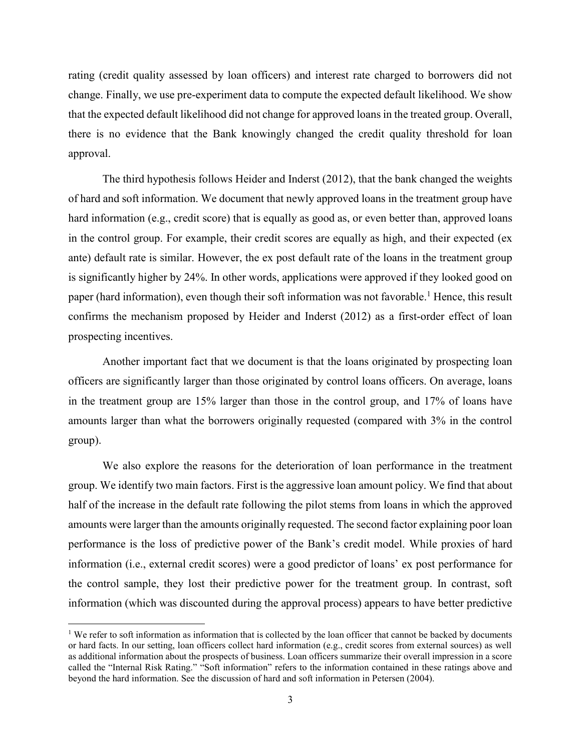rating (credit quality assessed by loan officers) and interest rate charged to borrowers did not change. Finally, we use pre-experiment data to compute the expected default likelihood. We show that the expected default likelihood did not change for approved loans in the treated group. Overall, there is no evidence that the Bank knowingly changed the credit quality threshold for loan approval.

The third hypothesis follows Heider and Inderst (2012), that the bank changed the weights of hard and soft information. We document that newly approved loans in the treatment group have hard information (e.g., credit score) that is equally as good as, or even better than, approved loans in the control group. For example, their credit scores are equally as high, and their expected (ex ante) default rate is similar. However, the ex post default rate of the loans in the treatment group is significantly higher by 24%. In other words, applications were approved if they looked good on paper (hard information), even though their soft information was not favorable.<sup>1</sup> Hence, this result confirms the mechanism proposed by Heider and Inderst (2012) as a first-order effect of loan prospecting incentives.

Another important fact that we document is that the loans originated by prospecting loan officers are significantly larger than those originated by control loans officers. On average, loans in the treatment group are 15% larger than those in the control group, and 17% of loans have amounts larger than what the borrowers originally requested (compared with 3% in the control group).

We also explore the reasons for the deterioration of loan performance in the treatment group. We identify two main factors. First is the aggressive loan amount policy. We find that about half of the increase in the default rate following the pilot stems from loans in which the approved amounts were larger than the amounts originally requested. The second factor explaining poor loan performance is the loss of predictive power of the Bank's credit model. While proxies of hard information (i.e., external credit scores) were a good predictor of loans' ex post performance for the control sample, they lost their predictive power for the treatment group. In contrast, soft information (which was discounted during the approval process) appears to have better predictive

 $\overline{a}$ 

<sup>&</sup>lt;sup>1</sup> We refer to soft information as information that is collected by the loan officer that cannot be backed by documents or hard facts. In our setting, loan officers collect hard information (e.g., credit scores from external sources) as well as additional information about the prospects of business. Loan officers summarize their overall impression in a score called the "Internal Risk Rating." "Soft information" refers to the information contained in these ratings above and beyond the hard information. See the discussion of hard and soft information in Petersen (2004).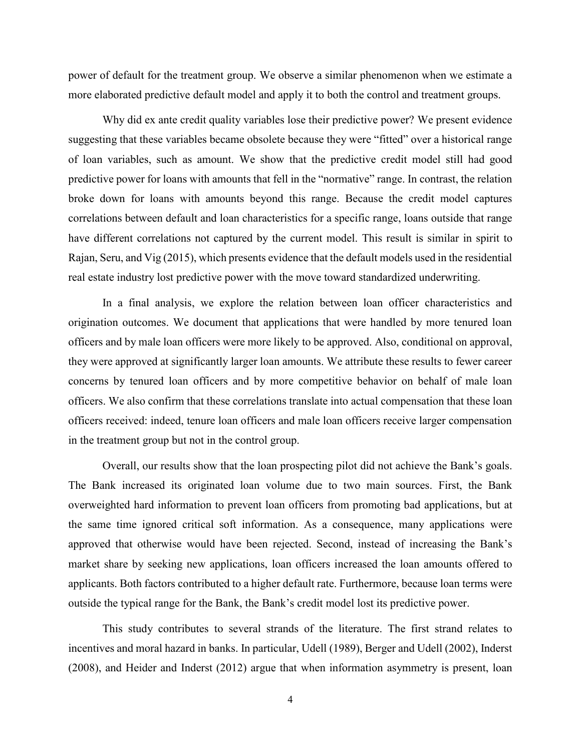power of default for the treatment group. We observe a similar phenomenon when we estimate a more elaborated predictive default model and apply it to both the control and treatment groups.

Why did ex ante credit quality variables lose their predictive power? We present evidence suggesting that these variables became obsolete because they were "fitted" over a historical range of loan variables, such as amount. We show that the predictive credit model still had good predictive power for loans with amounts that fell in the "normative" range. In contrast, the relation broke down for loans with amounts beyond this range. Because the credit model captures correlations between default and loan characteristics for a specific range, loans outside that range have different correlations not captured by the current model. This result is similar in spirit to Rajan, Seru, and Vig (2015), which presents evidence that the default models used in the residential real estate industry lost predictive power with the move toward standardized underwriting.

In a final analysis, we explore the relation between loan officer characteristics and origination outcomes. We document that applications that were handled by more tenured loan officers and by male loan officers were more likely to be approved. Also, conditional on approval, they were approved at significantly larger loan amounts. We attribute these results to fewer career concerns by tenured loan officers and by more competitive behavior on behalf of male loan officers. We also confirm that these correlations translate into actual compensation that these loan officers received: indeed, tenure loan officers and male loan officers receive larger compensation in the treatment group but not in the control group.

Overall, our results show that the loan prospecting pilot did not achieve the Bank's goals. The Bank increased its originated loan volume due to two main sources. First, the Bank overweighted hard information to prevent loan officers from promoting bad applications, but at the same time ignored critical soft information. As a consequence, many applications were approved that otherwise would have been rejected. Second, instead of increasing the Bank's market share by seeking new applications, loan officers increased the loan amounts offered to applicants. Both factors contributed to a higher default rate. Furthermore, because loan terms were outside the typical range for the Bank, the Bank's credit model lost its predictive power.

This study contributes to several strands of the literature. The first strand relates to incentives and moral hazard in banks. In particular, Udell (1989), Berger and Udell (2002), Inderst (2008), and Heider and Inderst (2012) argue that when information asymmetry is present, loan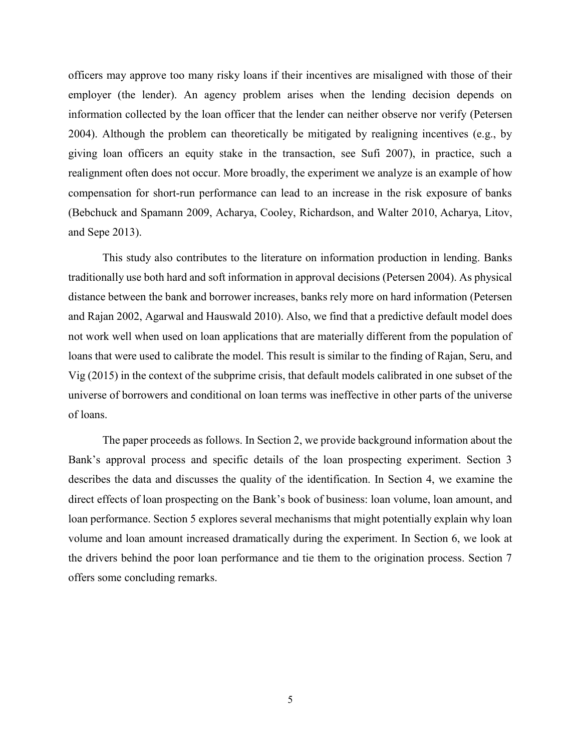officers may approve too many risky loans if their incentives are misaligned with those of their employer (the lender). An agency problem arises when the lending decision depends on information collected by the loan officer that the lender can neither observe nor verify (Petersen 2004). Although the problem can theoretically be mitigated by realigning incentives (e.g., by giving loan officers an equity stake in the transaction, see Sufi 2007), in practice, such a realignment often does not occur. More broadly, the experiment we analyze is an example of how compensation for short-run performance can lead to an increase in the risk exposure of banks (Bebchuck and Spamann 2009, Acharya, Cooley, Richardson, and Walter 2010, Acharya, Litov, and Sepe 2013).

This study also contributes to the literature on information production in lending. Banks traditionally use both hard and soft information in approval decisions (Petersen 2004). As physical distance between the bank and borrower increases, banks rely more on hard information (Petersen and Rajan 2002, Agarwal and Hauswald 2010). Also, we find that a predictive default model does not work well when used on loan applications that are materially different from the population of loans that were used to calibrate the model. This result is similar to the finding of Rajan, Seru, and Vig (2015) in the context of the subprime crisis, that default models calibrated in one subset of the universe of borrowers and conditional on loan terms was ineffective in other parts of the universe of loans.

The paper proceeds as follows. In Section 2, we provide background information about the Bank's approval process and specific details of the loan prospecting experiment. Section 3 describes the data and discusses the quality of the identification. In Section 4, we examine the direct effects of loan prospecting on the Bank's book of business: loan volume, loan amount, and loan performance. Section 5 explores several mechanisms that might potentially explain why loan volume and loan amount increased dramatically during the experiment. In Section 6, we look at the drivers behind the poor loan performance and tie them to the origination process. Section 7 offers some concluding remarks.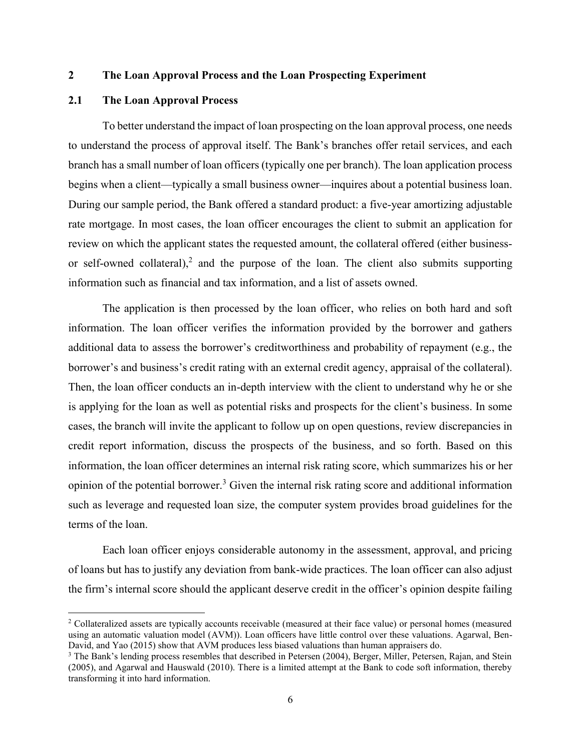#### **2 The Loan Approval Process and the Loan Prospecting Experiment**

#### **2.1 The Loan Approval Process**

l

To better understand the impact of loan prospecting on the loan approval process, one needs to understand the process of approval itself. The Bank's branches offer retail services, and each branch has a small number of loan officers (typically one per branch). The loan application process begins when a client—typically a small business owner—inquires about a potential business loan. During our sample period, the Bank offered a standard product: a five-year amortizing adjustable rate mortgage. In most cases, the loan officer encourages the client to submit an application for review on which the applicant states the requested amount, the collateral offered (either businessor self-owned collateral),<sup>2</sup> and the purpose of the loan. The client also submits supporting information such as financial and tax information, and a list of assets owned.

The application is then processed by the loan officer, who relies on both hard and soft information. The loan officer verifies the information provided by the borrower and gathers additional data to assess the borrower's creditworthiness and probability of repayment (e.g., the borrower's and business's credit rating with an external credit agency, appraisal of the collateral). Then, the loan officer conducts an in-depth interview with the client to understand why he or she is applying for the loan as well as potential risks and prospects for the client's business. In some cases, the branch will invite the applicant to follow up on open questions, review discrepancies in credit report information, discuss the prospects of the business, and so forth. Based on this information, the loan officer determines an internal risk rating score, which summarizes his or her opinion of the potential borrower.<sup>3</sup> Given the internal risk rating score and additional information such as leverage and requested loan size, the computer system provides broad guidelines for the terms of the loan.

Each loan officer enjoys considerable autonomy in the assessment, approval, and pricing of loans but has to justify any deviation from bank-wide practices. The loan officer can also adjust the firm's internal score should the applicant deserve credit in the officer's opinion despite failing

<sup>&</sup>lt;sup>2</sup> Collateralized assets are typically accounts receivable (measured at their face value) or personal homes (measured using an automatic valuation model (AVM)). Loan officers have little control over these valuations. Agarwal, Ben-David, and Yao (2015) show that AVM produces less biased valuations than human appraisers do.

<sup>&</sup>lt;sup>3</sup> The Bank's lending process resembles that described in Petersen (2004), Berger, Miller, Petersen, Rajan, and Stein (2005), and Agarwal and Hauswald (2010). There is a limited attempt at the Bank to code soft information, thereby transforming it into hard information.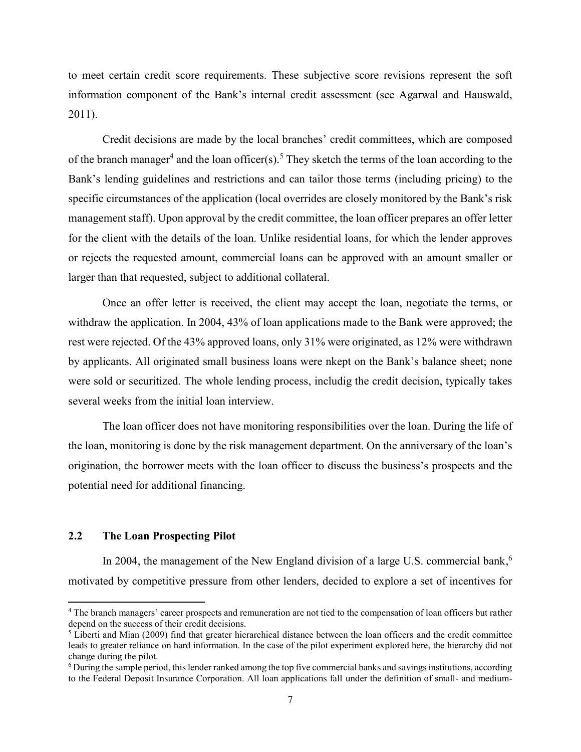to meet certain credit score requirements. These subjective score revisions represent the soft information component of the Bank's internal credit assessment (see Agarwal and Hauswald, 2011).

Credit decisions are made by the local branches' credit committees, which are composed of the branch manager<sup>4</sup> and the loan officer(s).<sup>5</sup> They sketch the terms of the loan according to the Bank's lending guidelines and restrictions and can tailor those terms (including pricing) to the specific circumstances of the application (local overrides are closely monitored by the Bank's risk management staff). Upon approval by the credit committee, the loan officer prepares an offer letter for the client with the details of the loan. Unlike residential loans, for which the lender approves or rejects the requested amount, commercial loans can be approved with an amount smaller or larger than that requested, subject to additional collateral.

Once an offer letter is received, the client may accept the loan, negotiate the terms, or withdraw the application. In 2004, 43% of loan applications made to the Bank were approved; the rest were rejected. Of the 43% approved loans, only 31% were originated, as 12% were withdrawn by applicants. All originated small business loans were nkept on the Bank's balance sheet; none were sold or securitized. The whole lending process, includig the credit decision, typically takes several weeks from the initial loan interview.

The loan officer does not have monitoring responsibilities over the loan. During the life of the loan, monitoring is done by the risk management department. On the anniversary of the loan's origination, the borrower meets with the loan officer to discuss the business's prospects and the potential need for additional financing.

## **2.2 The Loan Prospecting Pilot**

 $\overline{\phantom{a}}$ 

In 2004, the management of the New England division of a large U.S. commercial bank,<sup>6</sup> motivated by competitive pressure from other lenders, decided to explore a set of incentives for

<sup>&</sup>lt;sup>4</sup> The branch managers' career prospects and remuneration are not tied to the compensation of loan officers but rather depend on the success of their credit decisions.

<sup>&</sup>lt;sup>5</sup> Liberti and Mian (2009) find that greater hierarchical distance between the loan officers and the credit committee leads to greater reliance on hard information. In the case of the pilot experiment explored here, the hierarchy did not change during the pilot.

 $6$  During the sample period, this lender ranked among the top five commercial banks and savings institutions, according to the Federal Deposit Insurance Corporation. All loan applications fall under the definition of small- and medium-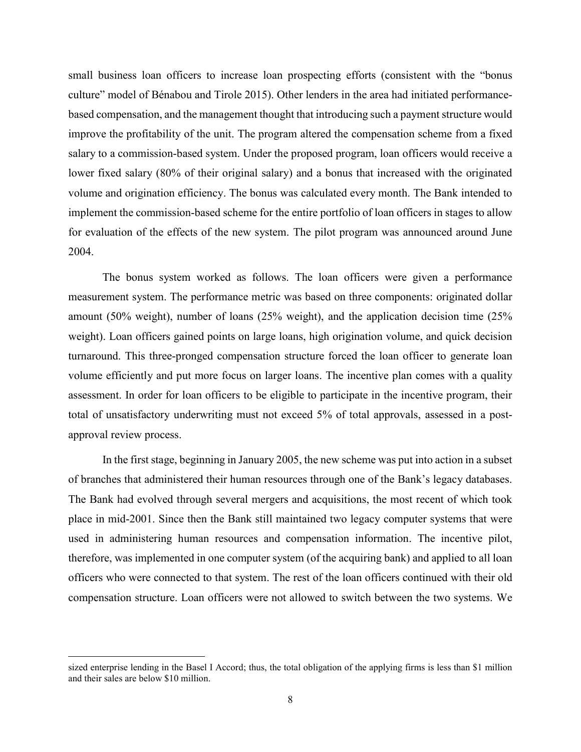small business loan officers to increase loan prospecting efforts (consistent with the "bonus culture" model of Bénabou and Tirole 2015). Other lenders in the area had initiated performancebased compensation, and the management thought that introducing such a payment structure would improve the profitability of the unit. The program altered the compensation scheme from a fixed salary to a commission-based system. Under the proposed program, loan officers would receive a lower fixed salary (80% of their original salary) and a bonus that increased with the originated volume and origination efficiency. The bonus was calculated every month. The Bank intended to implement the commission-based scheme for the entire portfolio of loan officers in stages to allow for evaluation of the effects of the new system. The pilot program was announced around June 2004.

The bonus system worked as follows. The loan officers were given a performance measurement system. The performance metric was based on three components: originated dollar amount (50% weight), number of loans (25% weight), and the application decision time (25% weight). Loan officers gained points on large loans, high origination volume, and quick decision turnaround. This three-pronged compensation structure forced the loan officer to generate loan volume efficiently and put more focus on larger loans. The incentive plan comes with a quality assessment. In order for loan officers to be eligible to participate in the incentive program, their total of unsatisfactory underwriting must not exceed 5% of total approvals, assessed in a postapproval review process.

In the first stage, beginning in January 2005, the new scheme was put into action in a subset of branches that administered their human resources through one of the Bank's legacy databases. The Bank had evolved through several mergers and acquisitions, the most recent of which took place in mid-2001. Since then the Bank still maintained two legacy computer systems that were used in administering human resources and compensation information. The incentive pilot, therefore, was implemented in one computer system (of the acquiring bank) and applied to all loan officers who were connected to that system. The rest of the loan officers continued with their old compensation structure. Loan officers were not allowed to switch between the two systems. We

 $\overline{\phantom{a}}$ 

sized enterprise lending in the Basel I Accord; thus, the total obligation of the applying firms is less than \$1 million and their sales are below \$10 million.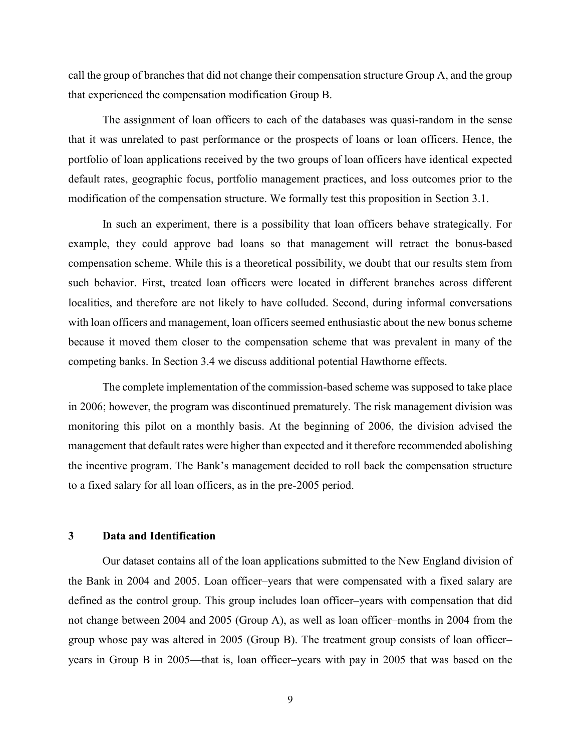call the group of branches that did not change their compensation structure Group A, and the group that experienced the compensation modification Group B.

The assignment of loan officers to each of the databases was quasi-random in the sense that it was unrelated to past performance or the prospects of loans or loan officers. Hence, the portfolio of loan applications received by the two groups of loan officers have identical expected default rates, geographic focus, portfolio management practices, and loss outcomes prior to the modification of the compensation structure. We formally test this proposition in Section 3.1.

In such an experiment, there is a possibility that loan officers behave strategically. For example, they could approve bad loans so that management will retract the bonus-based compensation scheme. While this is a theoretical possibility, we doubt that our results stem from such behavior. First, treated loan officers were located in different branches across different localities, and therefore are not likely to have colluded. Second, during informal conversations with loan officers and management, loan officers seemed enthusiastic about the new bonus scheme because it moved them closer to the compensation scheme that was prevalent in many of the competing banks. In Section 3.4 we discuss additional potential Hawthorne effects.

The complete implementation of the commission-based scheme was supposed to take place in 2006; however, the program was discontinued prematurely. The risk management division was monitoring this pilot on a monthly basis. At the beginning of 2006, the division advised the management that default rates were higher than expected and it therefore recommended abolishing the incentive program. The Bank's management decided to roll back the compensation structure to a fixed salary for all loan officers, as in the pre-2005 period.

#### **3 Data and Identification**

Our dataset contains all of the loan applications submitted to the New England division of the Bank in 2004 and 2005. Loan officer–years that were compensated with a fixed salary are defined as the control group. This group includes loan officer–years with compensation that did not change between 2004 and 2005 (Group A), as well as loan officer–months in 2004 from the group whose pay was altered in 2005 (Group B). The treatment group consists of loan officer– years in Group B in 2005—that is, loan officer–years with pay in 2005 that was based on the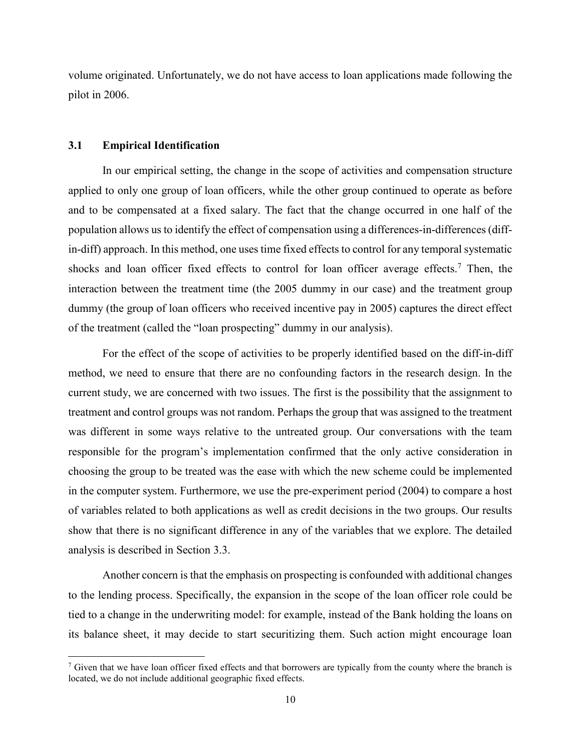volume originated. Unfortunately, we do not have access to loan applications made following the pilot in 2006.

#### **3.1 Empirical Identification**

 $\overline{\phantom{a}}$ 

In our empirical setting, the change in the scope of activities and compensation structure applied to only one group of loan officers, while the other group continued to operate as before and to be compensated at a fixed salary. The fact that the change occurred in one half of the population allows us to identify the effect of compensation using a differences-in-differences (diffin-diff) approach. In this method, one uses time fixed effects to control for any temporal systematic shocks and loan officer fixed effects to control for loan officer average effects.<sup>7</sup> Then, the interaction between the treatment time (the 2005 dummy in our case) and the treatment group dummy (the group of loan officers who received incentive pay in 2005) captures the direct effect of the treatment (called the "loan prospecting" dummy in our analysis).

For the effect of the scope of activities to be properly identified based on the diff-in-diff method, we need to ensure that there are no confounding factors in the research design. In the current study, we are concerned with two issues. The first is the possibility that the assignment to treatment and control groups was not random. Perhaps the group that was assigned to the treatment was different in some ways relative to the untreated group. Our conversations with the team responsible for the program's implementation confirmed that the only active consideration in choosing the group to be treated was the ease with which the new scheme could be implemented in the computer system. Furthermore, we use the pre-experiment period (2004) to compare a host of variables related to both applications as well as credit decisions in the two groups. Our results show that there is no significant difference in any of the variables that we explore. The detailed analysis is described in Section 3.3.

Another concern is that the emphasis on prospecting is confounded with additional changes to the lending process. Specifically, the expansion in the scope of the loan officer role could be tied to a change in the underwriting model: for example, instead of the Bank holding the loans on its balance sheet, it may decide to start securitizing them. Such action might encourage loan

<sup>&</sup>lt;sup>7</sup> Given that we have loan officer fixed effects and that borrowers are typically from the county where the branch is located, we do not include additional geographic fixed effects.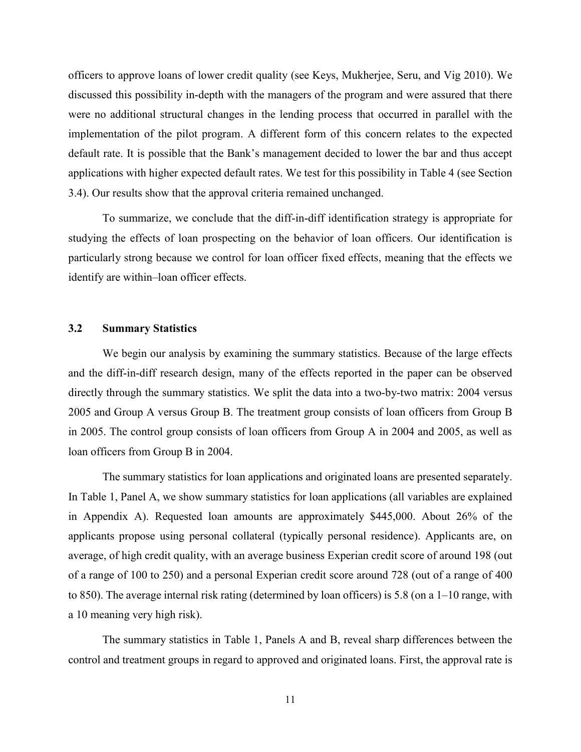officers to approve loans of lower credit quality (see Keys, Mukherjee, Seru, and Vig 2010). We discussed this possibility in-depth with the managers of the program and were assured that there were no additional structural changes in the lending process that occurred in parallel with the implementation of the pilot program. A different form of this concern relates to the expected default rate. It is possible that the Bank's management decided to lower the bar and thus accept applications with higher expected default rates. We test for this possibility in Table 4 (see Section 3.4). Our results show that the approval criteria remained unchanged.

To summarize, we conclude that the diff-in-diff identification strategy is appropriate for studying the effects of loan prospecting on the behavior of loan officers. Our identification is particularly strong because we control for loan officer fixed effects, meaning that the effects we identify are within–loan officer effects.

#### **3.2 Summary Statistics**

We begin our analysis by examining the summary statistics. Because of the large effects and the diff-in-diff research design, many of the effects reported in the paper can be observed directly through the summary statistics. We split the data into a two-by-two matrix: 2004 versus 2005 and Group A versus Group B. The treatment group consists of loan officers from Group B in 2005. The control group consists of loan officers from Group A in 2004 and 2005, as well as loan officers from Group B in 2004.

The summary statistics for loan applications and originated loans are presented separately. In Table 1, Panel A, we show summary statistics for loan applications (all variables are explained in Appendix A). Requested loan amounts are approximately \$445,000. About 26% of the applicants propose using personal collateral (typically personal residence). Applicants are, on average, of high credit quality, with an average business Experian credit score of around 198 (out of a range of 100 to 250) and a personal Experian credit score around 728 (out of a range of 400 to 850). The average internal risk rating (determined by loan officers) is 5.8 (on a 1–10 range, with a 10 meaning very high risk).

The summary statistics in Table 1, Panels A and B, reveal sharp differences between the control and treatment groups in regard to approved and originated loans. First, the approval rate is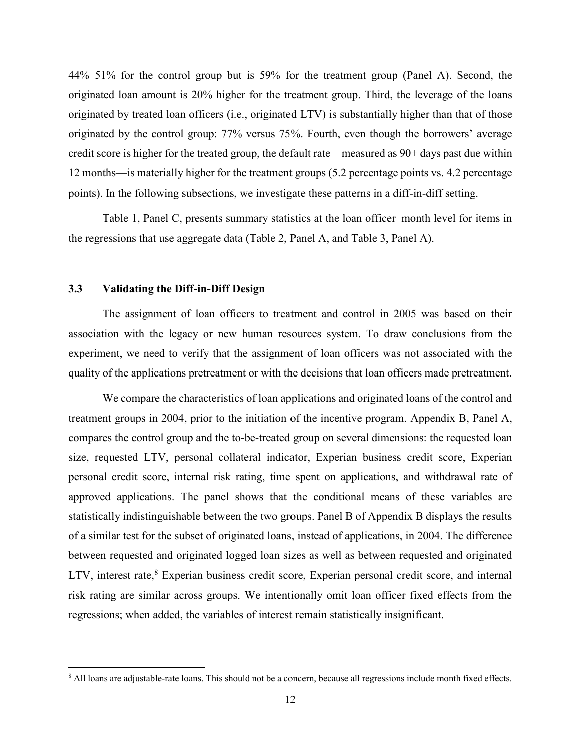44%–51% for the control group but is 59% for the treatment group (Panel A). Second, the originated loan amount is 20% higher for the treatment group. Third, the leverage of the loans originated by treated loan officers (i.e., originated LTV) is substantially higher than that of those originated by the control group: 77% versus 75%. Fourth, even though the borrowers' average credit score is higher for the treated group, the default rate—measured as 90+ days past due within 12 months—is materially higher for the treatment groups (5.2 percentage points vs. 4.2 percentage points). In the following subsections, we investigate these patterns in a diff-in-diff setting.

Table 1, Panel C, presents summary statistics at the loan officer–month level for items in the regressions that use aggregate data (Table 2, Panel A, and Table 3, Panel A).

#### **3.3 Validating the Diff-in-Diff Design**

 $\overline{\phantom{a}}$ 

The assignment of loan officers to treatment and control in 2005 was based on their association with the legacy or new human resources system. To draw conclusions from the experiment, we need to verify that the assignment of loan officers was not associated with the quality of the applications pretreatment or with the decisions that loan officers made pretreatment.

We compare the characteristics of loan applications and originated loans of the control and treatment groups in 2004, prior to the initiation of the incentive program. Appendix B, Panel A, compares the control group and the to-be-treated group on several dimensions: the requested loan size, requested LTV, personal collateral indicator, Experian business credit score, Experian personal credit score, internal risk rating, time spent on applications, and withdrawal rate of approved applications. The panel shows that the conditional means of these variables are statistically indistinguishable between the two groups. Panel B of Appendix B displays the results of a similar test for the subset of originated loans, instead of applications, in 2004. The difference between requested and originated logged loan sizes as well as between requested and originated LTV, interest rate,<sup>8</sup> Experian business credit score, Experian personal credit score, and internal risk rating are similar across groups. We intentionally omit loan officer fixed effects from the regressions; when added, the variables of interest remain statistically insignificant.

<sup>&</sup>lt;sup>8</sup> All loans are adjustable-rate loans. This should not be a concern, because all regressions include month fixed effects.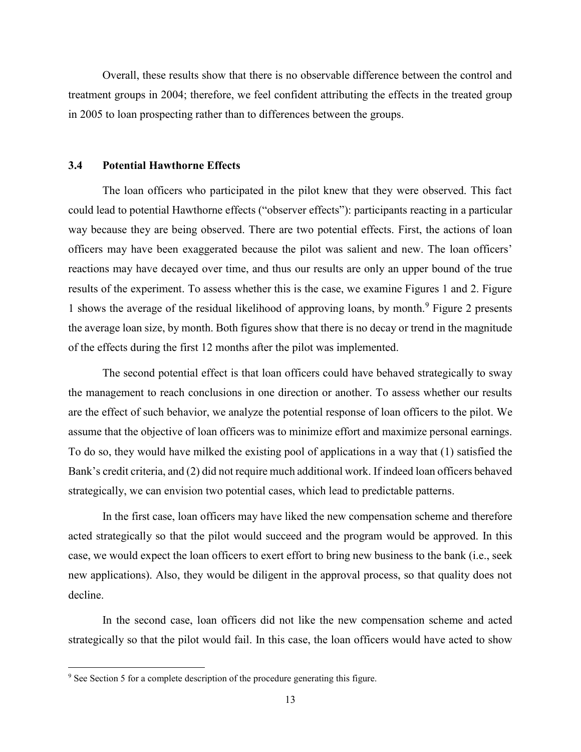Overall, these results show that there is no observable difference between the control and treatment groups in 2004; therefore, we feel confident attributing the effects in the treated group in 2005 to loan prospecting rather than to differences between the groups.

#### **3.4 Potential Hawthorne Effects**

The loan officers who participated in the pilot knew that they were observed. This fact could lead to potential Hawthorne effects ("observer effects"): participants reacting in a particular way because they are being observed. There are two potential effects. First, the actions of loan officers may have been exaggerated because the pilot was salient and new. The loan officers' reactions may have decayed over time, and thus our results are only an upper bound of the true results of the experiment. To assess whether this is the case, we examine Figures 1 and 2. Figure 1 shows the average of the residual likelihood of approving loans, by month.<sup>9</sup> Figure 2 presents the average loan size, by month. Both figures show that there is no decay or trend in the magnitude of the effects during the first 12 months after the pilot was implemented.

The second potential effect is that loan officers could have behaved strategically to sway the management to reach conclusions in one direction or another. To assess whether our results are the effect of such behavior, we analyze the potential response of loan officers to the pilot. We assume that the objective of loan officers was to minimize effort and maximize personal earnings. To do so, they would have milked the existing pool of applications in a way that (1) satisfied the Bank's credit criteria, and (2) did not require much additional work. If indeed loan officers behaved strategically, we can envision two potential cases, which lead to predictable patterns.

In the first case, loan officers may have liked the new compensation scheme and therefore acted strategically so that the pilot would succeed and the program would be approved. In this case, we would expect the loan officers to exert effort to bring new business to the bank (i.e., seek new applications). Also, they would be diligent in the approval process, so that quality does not decline.

In the second case, loan officers did not like the new compensation scheme and acted strategically so that the pilot would fail. In this case, the loan officers would have acted to show

 $\overline{\phantom{a}}$ 

<sup>&</sup>lt;sup>9</sup> See Section 5 for a complete description of the procedure generating this figure.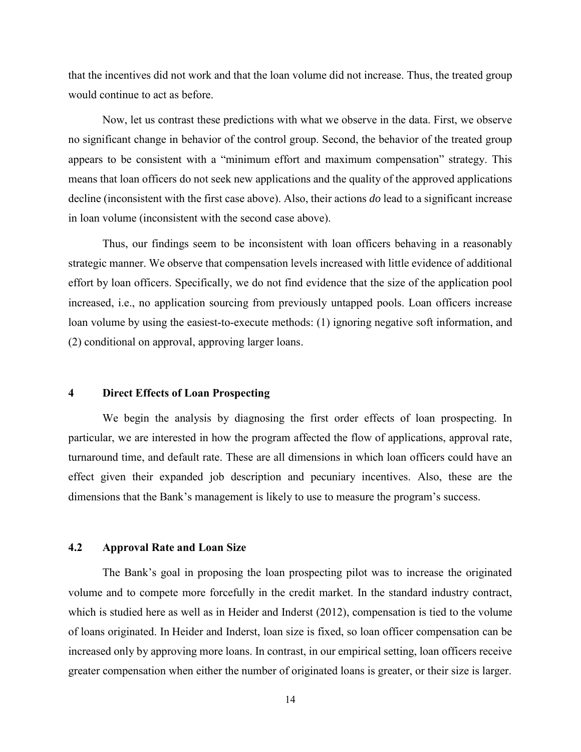that the incentives did not work and that the loan volume did not increase. Thus, the treated group would continue to act as before.

Now, let us contrast these predictions with what we observe in the data. First, we observe no significant change in behavior of the control group. Second, the behavior of the treated group appears to be consistent with a "minimum effort and maximum compensation" strategy. This means that loan officers do not seek new applications and the quality of the approved applications decline (inconsistent with the first case above). Also, their actions *do* lead to a significant increase in loan volume (inconsistent with the second case above).

Thus, our findings seem to be inconsistent with loan officers behaving in a reasonably strategic manner. We observe that compensation levels increased with little evidence of additional effort by loan officers. Specifically, we do not find evidence that the size of the application pool increased, i.e., no application sourcing from previously untapped pools. Loan officers increase loan volume by using the easiest-to-execute methods: (1) ignoring negative soft information, and (2) conditional on approval, approving larger loans.

#### **4 Direct Effects of Loan Prospecting**

We begin the analysis by diagnosing the first order effects of loan prospecting. In particular, we are interested in how the program affected the flow of applications, approval rate, turnaround time, and default rate. These are all dimensions in which loan officers could have an effect given their expanded job description and pecuniary incentives. Also, these are the dimensions that the Bank's management is likely to use to measure the program's success.

#### **4.2 Approval Rate and Loan Size**

The Bank's goal in proposing the loan prospecting pilot was to increase the originated volume and to compete more forcefully in the credit market. In the standard industry contract, which is studied here as well as in Heider and Inderst (2012), compensation is tied to the volume of loans originated. In Heider and Inderst, loan size is fixed, so loan officer compensation can be increased only by approving more loans. In contrast, in our empirical setting, loan officers receive greater compensation when either the number of originated loans is greater, or their size is larger.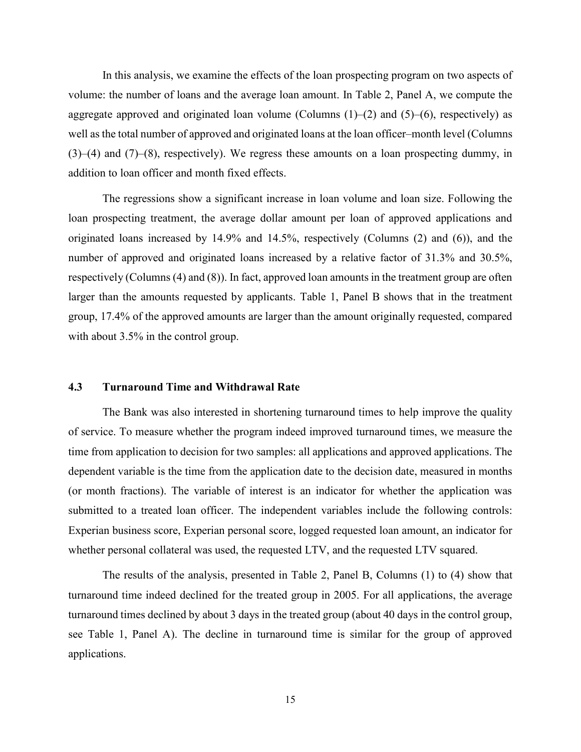In this analysis, we examine the effects of the loan prospecting program on two aspects of volume: the number of loans and the average loan amount. In Table 2, Panel A, we compute the aggregate approved and originated loan volume (Columns  $(1)$ – $(2)$  and  $(5)$ – $(6)$ , respectively) as well as the total number of approved and originated loans at the loan officer–month level (Columns (3)–(4) and (7)–(8), respectively). We regress these amounts on a loan prospecting dummy, in addition to loan officer and month fixed effects.

The regressions show a significant increase in loan volume and loan size. Following the loan prospecting treatment, the average dollar amount per loan of approved applications and originated loans increased by 14.9% and 14.5%, respectively (Columns (2) and (6)), and the number of approved and originated loans increased by a relative factor of 31.3% and 30.5%, respectively (Columns (4) and (8)). In fact, approved loan amounts in the treatment group are often larger than the amounts requested by applicants. Table 1, Panel B shows that in the treatment group, 17.4% of the approved amounts are larger than the amount originally requested, compared with about 3.5% in the control group.

#### **4.3 Turnaround Time and Withdrawal Rate**

The Bank was also interested in shortening turnaround times to help improve the quality of service. To measure whether the program indeed improved turnaround times, we measure the time from application to decision for two samples: all applications and approved applications. The dependent variable is the time from the application date to the decision date, measured in months (or month fractions). The variable of interest is an indicator for whether the application was submitted to a treated loan officer. The independent variables include the following controls: Experian business score, Experian personal score, logged requested loan amount, an indicator for whether personal collateral was used, the requested LTV, and the requested LTV squared.

The results of the analysis, presented in Table 2, Panel B, Columns (1) to (4) show that turnaround time indeed declined for the treated group in 2005. For all applications, the average turnaround times declined by about 3 days in the treated group (about 40 days in the control group, see Table 1, Panel A). The decline in turnaround time is similar for the group of approved applications.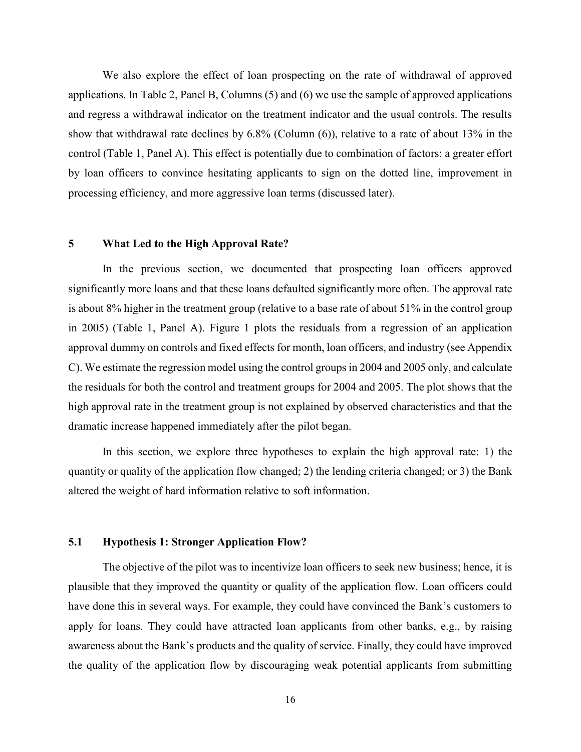We also explore the effect of loan prospecting on the rate of withdrawal of approved applications. In Table 2, Panel B, Columns (5) and (6) we use the sample of approved applications and regress a withdrawal indicator on the treatment indicator and the usual controls. The results show that withdrawal rate declines by 6.8% (Column (6)), relative to a rate of about 13% in the control (Table 1, Panel A). This effect is potentially due to combination of factors: a greater effort by loan officers to convince hesitating applicants to sign on the dotted line, improvement in processing efficiency, and more aggressive loan terms (discussed later).

#### **5 What Led to the High Approval Rate?**

In the previous section, we documented that prospecting loan officers approved significantly more loans and that these loans defaulted significantly more often. The approval rate is about 8% higher in the treatment group (relative to a base rate of about 51% in the control group in 2005) (Table 1, Panel A). Figure 1 plots the residuals from a regression of an application approval dummy on controls and fixed effects for month, loan officers, and industry (see Appendix C). We estimate the regression model using the control groups in 2004 and 2005 only, and calculate the residuals for both the control and treatment groups for 2004 and 2005. The plot shows that the high approval rate in the treatment group is not explained by observed characteristics and that the dramatic increase happened immediately after the pilot began.

In this section, we explore three hypotheses to explain the high approval rate: 1) the quantity or quality of the application flow changed; 2) the lending criteria changed; or 3) the Bank altered the weight of hard information relative to soft information.

#### **5.1 Hypothesis 1: Stronger Application Flow?**

The objective of the pilot was to incentivize loan officers to seek new business; hence, it is plausible that they improved the quantity or quality of the application flow. Loan officers could have done this in several ways. For example, they could have convinced the Bank's customers to apply for loans. They could have attracted loan applicants from other banks, e.g., by raising awareness about the Bank's products and the quality of service. Finally, they could have improved the quality of the application flow by discouraging weak potential applicants from submitting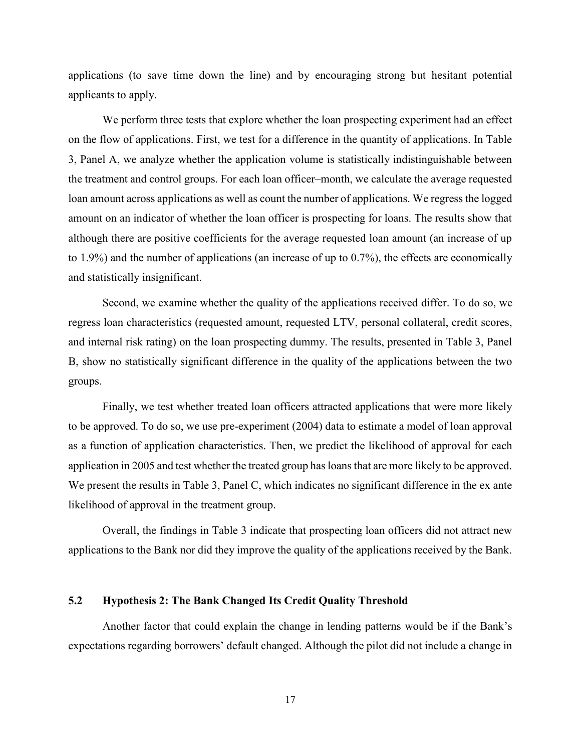applications (to save time down the line) and by encouraging strong but hesitant potential applicants to apply.

We perform three tests that explore whether the loan prospecting experiment had an effect on the flow of applications. First, we test for a difference in the quantity of applications. In Table 3, Panel A, we analyze whether the application volume is statistically indistinguishable between the treatment and control groups. For each loan officer–month, we calculate the average requested loan amount across applications as well as count the number of applications. We regress the logged amount on an indicator of whether the loan officer is prospecting for loans. The results show that although there are positive coefficients for the average requested loan amount (an increase of up to 1.9%) and the number of applications (an increase of up to 0.7%), the effects are economically and statistically insignificant.

Second, we examine whether the quality of the applications received differ. To do so, we regress loan characteristics (requested amount, requested LTV, personal collateral, credit scores, and internal risk rating) on the loan prospecting dummy. The results, presented in Table 3, Panel B, show no statistically significant difference in the quality of the applications between the two groups.

Finally, we test whether treated loan officers attracted applications that were more likely to be approved. To do so, we use pre-experiment (2004) data to estimate a model of loan approval as a function of application characteristics. Then, we predict the likelihood of approval for each application in 2005 and test whether the treated group has loans that are more likely to be approved. We present the results in Table 3, Panel C, which indicates no significant difference in the ex ante likelihood of approval in the treatment group.

Overall, the findings in Table 3 indicate that prospecting loan officers did not attract new applications to the Bank nor did they improve the quality of the applications received by the Bank.

### **5.2 Hypothesis 2: The Bank Changed Its Credit Quality Threshold**

Another factor that could explain the change in lending patterns would be if the Bank's expectations regarding borrowers' default changed. Although the pilot did not include a change in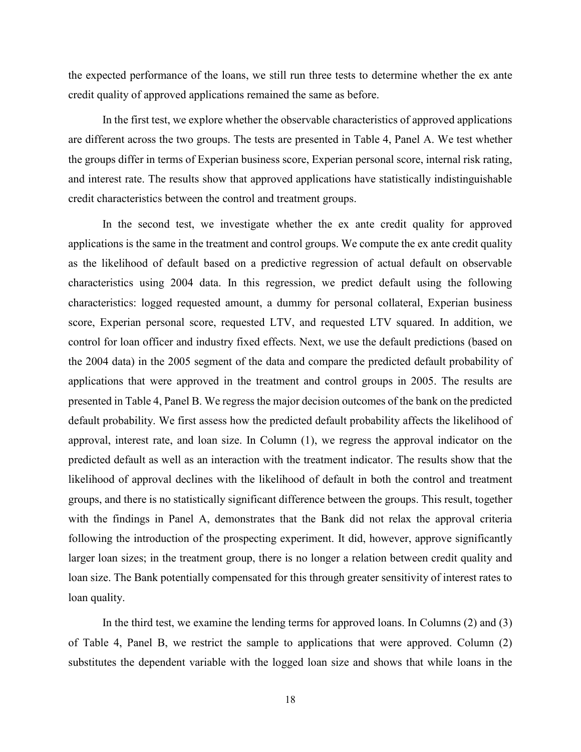the expected performance of the loans, we still run three tests to determine whether the ex ante credit quality of approved applications remained the same as before.

In the first test, we explore whether the observable characteristics of approved applications are different across the two groups. The tests are presented in Table 4, Panel A. We test whether the groups differ in terms of Experian business score, Experian personal score, internal risk rating, and interest rate. The results show that approved applications have statistically indistinguishable credit characteristics between the control and treatment groups.

In the second test, we investigate whether the ex ante credit quality for approved applications is the same in the treatment and control groups. We compute the ex ante credit quality as the likelihood of default based on a predictive regression of actual default on observable characteristics using 2004 data. In this regression, we predict default using the following characteristics: logged requested amount, a dummy for personal collateral, Experian business score, Experian personal score, requested LTV, and requested LTV squared. In addition, we control for loan officer and industry fixed effects. Next, we use the default predictions (based on the 2004 data) in the 2005 segment of the data and compare the predicted default probability of applications that were approved in the treatment and control groups in 2005. The results are presented in Table 4, Panel B. We regress the major decision outcomes of the bank on the predicted default probability. We first assess how the predicted default probability affects the likelihood of approval, interest rate, and loan size. In Column (1), we regress the approval indicator on the predicted default as well as an interaction with the treatment indicator. The results show that the likelihood of approval declines with the likelihood of default in both the control and treatment groups, and there is no statistically significant difference between the groups. This result, together with the findings in Panel A, demonstrates that the Bank did not relax the approval criteria following the introduction of the prospecting experiment. It did, however, approve significantly larger loan sizes; in the treatment group, there is no longer a relation between credit quality and loan size. The Bank potentially compensated for this through greater sensitivity of interest rates to loan quality.

In the third test, we examine the lending terms for approved loans. In Columns (2) and (3) of Table 4, Panel B, we restrict the sample to applications that were approved. Column (2) substitutes the dependent variable with the logged loan size and shows that while loans in the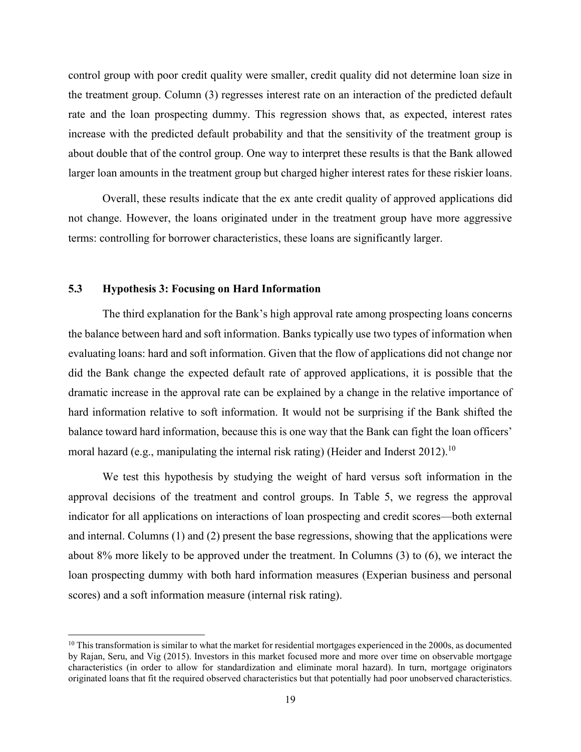control group with poor credit quality were smaller, credit quality did not determine loan size in the treatment group. Column (3) regresses interest rate on an interaction of the predicted default rate and the loan prospecting dummy. This regression shows that, as expected, interest rates increase with the predicted default probability and that the sensitivity of the treatment group is about double that of the control group. One way to interpret these results is that the Bank allowed larger loan amounts in the treatment group but charged higher interest rates for these riskier loans.

Overall, these results indicate that the ex ante credit quality of approved applications did not change. However, the loans originated under in the treatment group have more aggressive terms: controlling for borrower characteristics, these loans are significantly larger.

#### **5.3 Hypothesis 3: Focusing on Hard Information**

 $\overline{\phantom{a}}$ 

The third explanation for the Bank's high approval rate among prospecting loans concerns the balance between hard and soft information. Banks typically use two types of information when evaluating loans: hard and soft information. Given that the flow of applications did not change nor did the Bank change the expected default rate of approved applications, it is possible that the dramatic increase in the approval rate can be explained by a change in the relative importance of hard information relative to soft information. It would not be surprising if the Bank shifted the balance toward hard information, because this is one way that the Bank can fight the loan officers' moral hazard (e.g., manipulating the internal risk rating) (Heider and Inderst 2012).<sup>10</sup>

We test this hypothesis by studying the weight of hard versus soft information in the approval decisions of the treatment and control groups. In Table 5, we regress the approval indicator for all applications on interactions of loan prospecting and credit scores—both external and internal. Columns (1) and (2) present the base regressions, showing that the applications were about 8% more likely to be approved under the treatment. In Columns (3) to (6), we interact the loan prospecting dummy with both hard information measures (Experian business and personal scores) and a soft information measure (internal risk rating).

 $10$  This transformation is similar to what the market for residential mortgages experienced in the 2000s, as documented by Rajan, Seru, and Vig (2015). Investors in this market focused more and more over time on observable mortgage characteristics (in order to allow for standardization and eliminate moral hazard). In turn, mortgage originators originated loans that fit the required observed characteristics but that potentially had poor unobserved characteristics.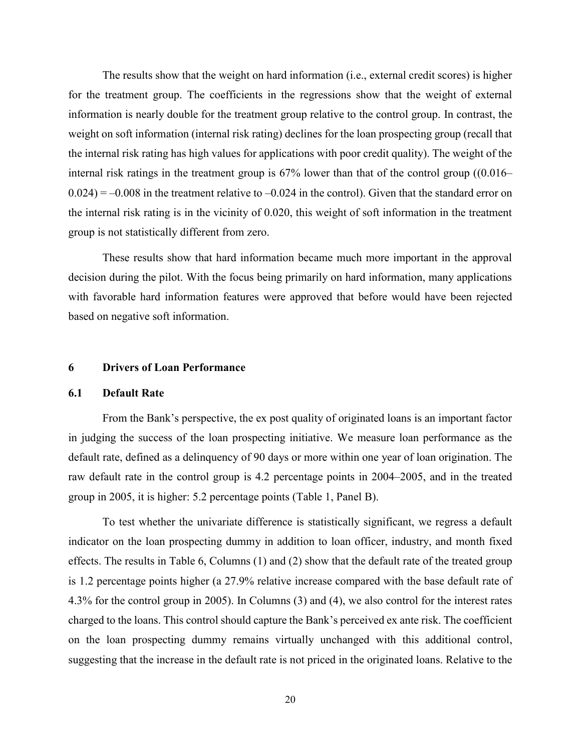The results show that the weight on hard information (i.e., external credit scores) is higher for the treatment group. The coefficients in the regressions show that the weight of external information is nearly double for the treatment group relative to the control group. In contrast, the weight on soft information (internal risk rating) declines for the loan prospecting group (recall that the internal risk rating has high values for applications with poor credit quality). The weight of the internal risk ratings in the treatment group is 67% lower than that of the control group ((0.016–  $0.024$ ) = -0.008 in the treatment relative to -0.024 in the control). Given that the standard error on the internal risk rating is in the vicinity of 0.020, this weight of soft information in the treatment group is not statistically different from zero.

These results show that hard information became much more important in the approval decision during the pilot. With the focus being primarily on hard information, many applications with favorable hard information features were approved that before would have been rejected based on negative soft information.

#### **6 Drivers of Loan Performance**

#### **6.1 Default Rate**

From the Bank's perspective, the ex post quality of originated loans is an important factor in judging the success of the loan prospecting initiative. We measure loan performance as the default rate, defined as a delinquency of 90 days or more within one year of loan origination. The raw default rate in the control group is 4.2 percentage points in 2004–2005, and in the treated group in 2005, it is higher: 5.2 percentage points (Table 1, Panel B).

To test whether the univariate difference is statistically significant, we regress a default indicator on the loan prospecting dummy in addition to loan officer, industry, and month fixed effects. The results in Table 6, Columns (1) and (2) show that the default rate of the treated group is 1.2 percentage points higher (a 27.9% relative increase compared with the base default rate of 4.3% for the control group in 2005). In Columns (3) and (4), we also control for the interest rates charged to the loans. This control should capture the Bank's perceived ex ante risk. The coefficient on the loan prospecting dummy remains virtually unchanged with this additional control, suggesting that the increase in the default rate is not priced in the originated loans. Relative to the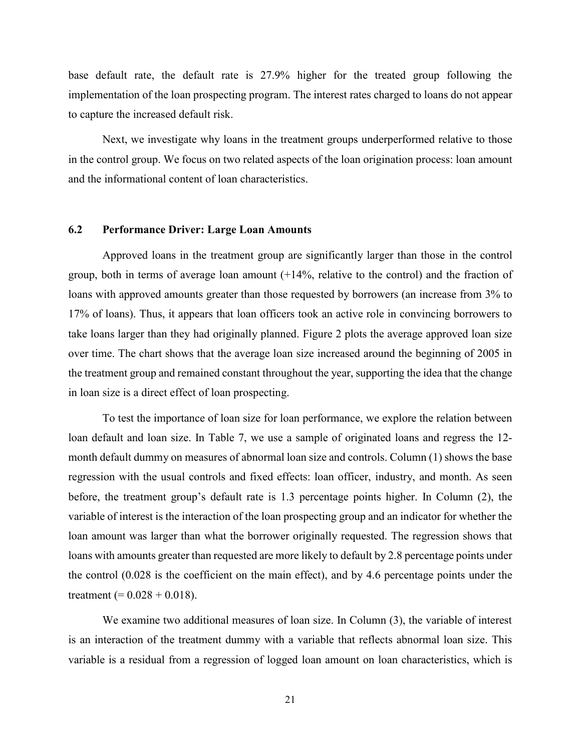base default rate, the default rate is 27.9% higher for the treated group following the implementation of the loan prospecting program. The interest rates charged to loans do not appear to capture the increased default risk.

Next, we investigate why loans in the treatment groups underperformed relative to those in the control group. We focus on two related aspects of the loan origination process: loan amount and the informational content of loan characteristics.

#### **6.2 Performance Driver: Large Loan Amounts**

Approved loans in the treatment group are significantly larger than those in the control group, both in terms of average loan amount (+14%, relative to the control) and the fraction of loans with approved amounts greater than those requested by borrowers (an increase from 3% to 17% of loans). Thus, it appears that loan officers took an active role in convincing borrowers to take loans larger than they had originally planned. Figure 2 plots the average approved loan size over time. The chart shows that the average loan size increased around the beginning of 2005 in the treatment group and remained constant throughout the year, supporting the idea that the change in loan size is a direct effect of loan prospecting.

To test the importance of loan size for loan performance, we explore the relation between loan default and loan size. In Table 7, we use a sample of originated loans and regress the 12 month default dummy on measures of abnormal loan size and controls. Column (1) shows the base regression with the usual controls and fixed effects: loan officer, industry, and month. As seen before, the treatment group's default rate is 1.3 percentage points higher. In Column (2), the variable of interest is the interaction of the loan prospecting group and an indicator for whether the loan amount was larger than what the borrower originally requested. The regression shows that loans with amounts greater than requested are more likely to default by 2.8 percentage points under the control (0.028 is the coefficient on the main effect), and by 4.6 percentage points under the treatment (=  $0.028 + 0.018$ ).

We examine two additional measures of loan size. In Column (3), the variable of interest is an interaction of the treatment dummy with a variable that reflects abnormal loan size. This variable is a residual from a regression of logged loan amount on loan characteristics, which is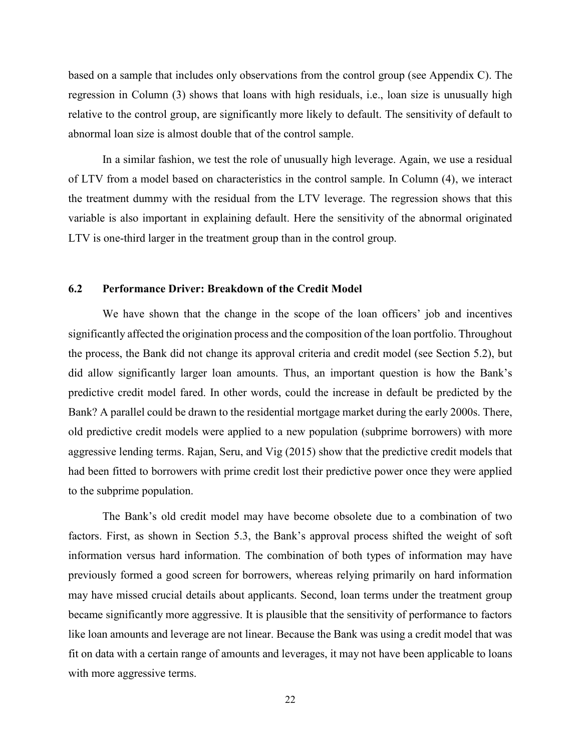based on a sample that includes only observations from the control group (see Appendix C). The regression in Column (3) shows that loans with high residuals, i.e., loan size is unusually high relative to the control group, are significantly more likely to default. The sensitivity of default to abnormal loan size is almost double that of the control sample.

In a similar fashion, we test the role of unusually high leverage. Again, we use a residual of LTV from a model based on characteristics in the control sample. In Column (4), we interact the treatment dummy with the residual from the LTV leverage. The regression shows that this variable is also important in explaining default. Here the sensitivity of the abnormal originated LTV is one-third larger in the treatment group than in the control group.

#### **6.2 Performance Driver: Breakdown of the Credit Model**

We have shown that the change in the scope of the loan officers' job and incentives significantly affected the origination process and the composition of the loan portfolio. Throughout the process, the Bank did not change its approval criteria and credit model (see Section 5.2), but did allow significantly larger loan amounts. Thus, an important question is how the Bank's predictive credit model fared. In other words, could the increase in default be predicted by the Bank? A parallel could be drawn to the residential mortgage market during the early 2000s. There, old predictive credit models were applied to a new population (subprime borrowers) with more aggressive lending terms. Rajan, Seru, and Vig (2015) show that the predictive credit models that had been fitted to borrowers with prime credit lost their predictive power once they were applied to the subprime population.

The Bank's old credit model may have become obsolete due to a combination of two factors. First, as shown in Section 5.3, the Bank's approval process shifted the weight of soft information versus hard information. The combination of both types of information may have previously formed a good screen for borrowers, whereas relying primarily on hard information may have missed crucial details about applicants. Second, loan terms under the treatment group became significantly more aggressive. It is plausible that the sensitivity of performance to factors like loan amounts and leverage are not linear. Because the Bank was using a credit model that was fit on data with a certain range of amounts and leverages, it may not have been applicable to loans with more aggressive terms.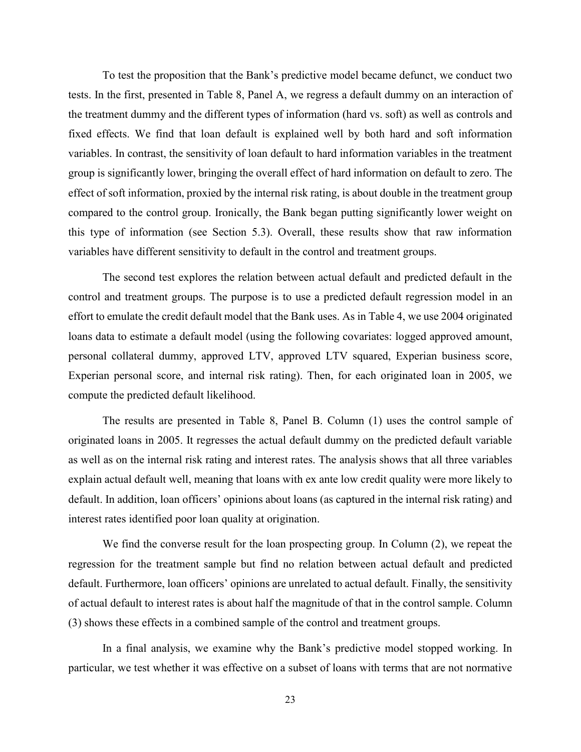To test the proposition that the Bank's predictive model became defunct, we conduct two tests. In the first, presented in Table 8, Panel A, we regress a default dummy on an interaction of the treatment dummy and the different types of information (hard vs. soft) as well as controls and fixed effects. We find that loan default is explained well by both hard and soft information variables. In contrast, the sensitivity of loan default to hard information variables in the treatment group is significantly lower, bringing the overall effect of hard information on default to zero. The effect of soft information, proxied by the internal risk rating, is about double in the treatment group compared to the control group. Ironically, the Bank began putting significantly lower weight on this type of information (see Section 5.3). Overall, these results show that raw information variables have different sensitivity to default in the control and treatment groups.

The second test explores the relation between actual default and predicted default in the control and treatment groups. The purpose is to use a predicted default regression model in an effort to emulate the credit default model that the Bank uses. As in Table 4, we use 2004 originated loans data to estimate a default model (using the following covariates: logged approved amount, personal collateral dummy, approved LTV, approved LTV squared, Experian business score, Experian personal score, and internal risk rating). Then, for each originated loan in 2005, we compute the predicted default likelihood.

The results are presented in Table 8, Panel B. Column (1) uses the control sample of originated loans in 2005. It regresses the actual default dummy on the predicted default variable as well as on the internal risk rating and interest rates. The analysis shows that all three variables explain actual default well, meaning that loans with ex ante low credit quality were more likely to default. In addition, loan officers' opinions about loans (as captured in the internal risk rating) and interest rates identified poor loan quality at origination.

We find the converse result for the loan prospecting group. In Column (2), we repeat the regression for the treatment sample but find no relation between actual default and predicted default. Furthermore, loan officers' opinions are unrelated to actual default. Finally, the sensitivity of actual default to interest rates is about half the magnitude of that in the control sample. Column (3) shows these effects in a combined sample of the control and treatment groups.

In a final analysis, we examine why the Bank's predictive model stopped working. In particular, we test whether it was effective on a subset of loans with terms that are not normative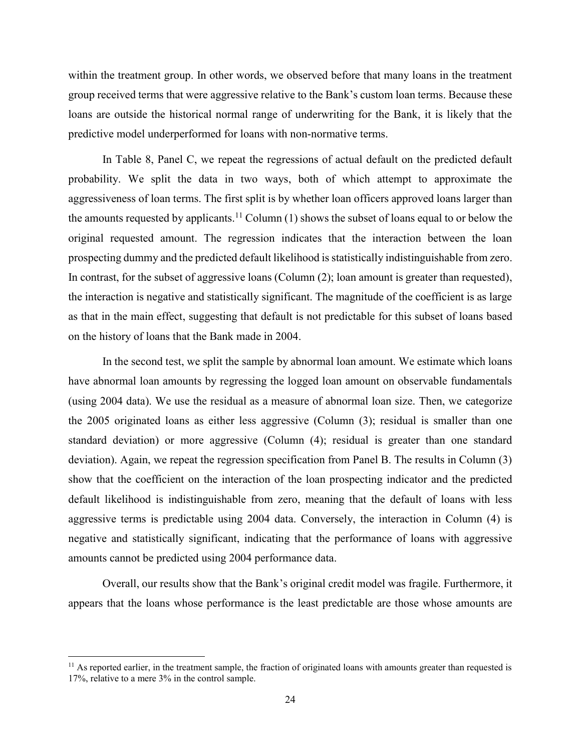within the treatment group. In other words, we observed before that many loans in the treatment group received terms that were aggressive relative to the Bank's custom loan terms. Because these loans are outside the historical normal range of underwriting for the Bank, it is likely that the predictive model underperformed for loans with non-normative terms.

In Table 8, Panel C, we repeat the regressions of actual default on the predicted default probability. We split the data in two ways, both of which attempt to approximate the aggressiveness of loan terms. The first split is by whether loan officers approved loans larger than the amounts requested by applicants.<sup>11</sup> Column (1) shows the subset of loans equal to or below the original requested amount. The regression indicates that the interaction between the loan prospecting dummy and the predicted default likelihood is statistically indistinguishable from zero. In contrast, for the subset of aggressive loans (Column (2); loan amount is greater than requested), the interaction is negative and statistically significant. The magnitude of the coefficient is as large as that in the main effect, suggesting that default is not predictable for this subset of loans based on the history of loans that the Bank made in 2004.

In the second test, we split the sample by abnormal loan amount. We estimate which loans have abnormal loan amounts by regressing the logged loan amount on observable fundamentals (using 2004 data). We use the residual as a measure of abnormal loan size. Then, we categorize the 2005 originated loans as either less aggressive (Column (3); residual is smaller than one standard deviation) or more aggressive (Column (4); residual is greater than one standard deviation). Again, we repeat the regression specification from Panel B. The results in Column (3) show that the coefficient on the interaction of the loan prospecting indicator and the predicted default likelihood is indistinguishable from zero, meaning that the default of loans with less aggressive terms is predictable using 2004 data. Conversely, the interaction in Column (4) is negative and statistically significant, indicating that the performance of loans with aggressive amounts cannot be predicted using 2004 performance data.

Overall, our results show that the Bank's original credit model was fragile. Furthermore, it appears that the loans whose performance is the least predictable are those whose amounts are

 $\overline{\phantom{a}}$ 

 $<sup>11</sup>$  As reported earlier, in the treatment sample, the fraction of originated loans with amounts greater than requested is</sup> 17%, relative to a mere 3% in the control sample.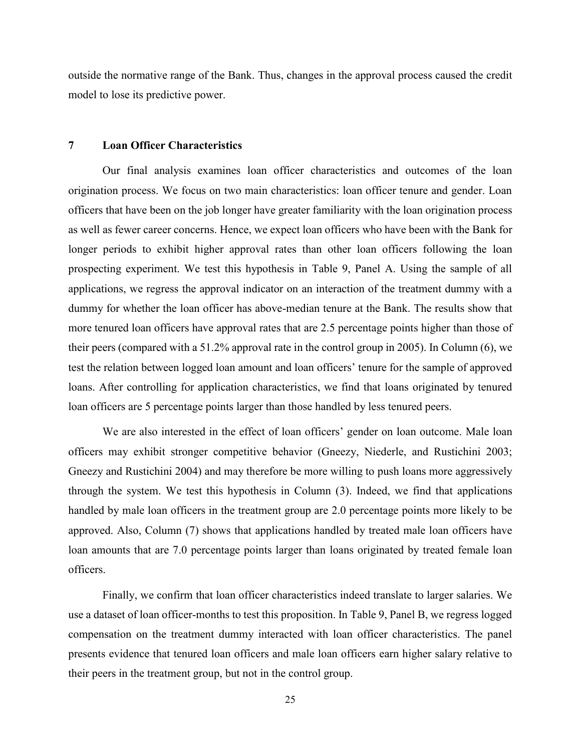outside the normative range of the Bank. Thus, changes in the approval process caused the credit model to lose its predictive power.

#### **7 Loan Officer Characteristics**

Our final analysis examines loan officer characteristics and outcomes of the loan origination process. We focus on two main characteristics: loan officer tenure and gender. Loan officers that have been on the job longer have greater familiarity with the loan origination process as well as fewer career concerns. Hence, we expect loan officers who have been with the Bank for longer periods to exhibit higher approval rates than other loan officers following the loan prospecting experiment. We test this hypothesis in Table 9, Panel A. Using the sample of all applications, we regress the approval indicator on an interaction of the treatment dummy with a dummy for whether the loan officer has above-median tenure at the Bank. The results show that more tenured loan officers have approval rates that are 2.5 percentage points higher than those of their peers (compared with a 51.2% approval rate in the control group in 2005). In Column (6), we test the relation between logged loan amount and loan officers' tenure for the sample of approved loans. After controlling for application characteristics, we find that loans originated by tenured loan officers are 5 percentage points larger than those handled by less tenured peers.

We are also interested in the effect of loan officers' gender on loan outcome. Male loan officers may exhibit stronger competitive behavior (Gneezy, Niederle, and Rustichini 2003; Gneezy and Rustichini 2004) and may therefore be more willing to push loans more aggressively through the system. We test this hypothesis in Column (3). Indeed, we find that applications handled by male loan officers in the treatment group are 2.0 percentage points more likely to be approved. Also, Column (7) shows that applications handled by treated male loan officers have loan amounts that are 7.0 percentage points larger than loans originated by treated female loan officers.

Finally, we confirm that loan officer characteristics indeed translate to larger salaries. We use a dataset of loan officer-months to test this proposition. In Table 9, Panel B, we regress logged compensation on the treatment dummy interacted with loan officer characteristics. The panel presents evidence that tenured loan officers and male loan officers earn higher salary relative to their peers in the treatment group, but not in the control group.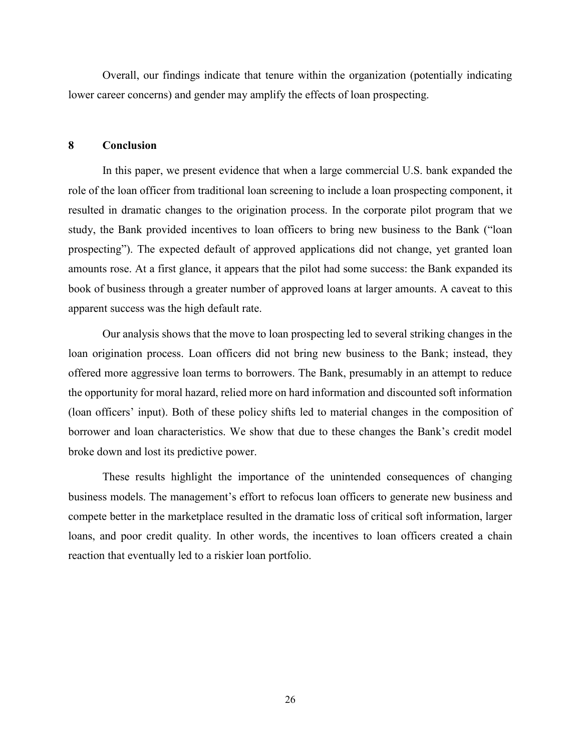Overall, our findings indicate that tenure within the organization (potentially indicating lower career concerns) and gender may amplify the effects of loan prospecting.

#### **8 Conclusion**

In this paper, we present evidence that when a large commercial U.S. bank expanded the role of the loan officer from traditional loan screening to include a loan prospecting component, it resulted in dramatic changes to the origination process. In the corporate pilot program that we study, the Bank provided incentives to loan officers to bring new business to the Bank ("loan prospecting"). The expected default of approved applications did not change, yet granted loan amounts rose. At a first glance, it appears that the pilot had some success: the Bank expanded its book of business through a greater number of approved loans at larger amounts. A caveat to this apparent success was the high default rate.

Our analysis shows that the move to loan prospecting led to several striking changes in the loan origination process. Loan officers did not bring new business to the Bank; instead, they offered more aggressive loan terms to borrowers. The Bank, presumably in an attempt to reduce the opportunity for moral hazard, relied more on hard information and discounted soft information (loan officers' input). Both of these policy shifts led to material changes in the composition of borrower and loan characteristics. We show that due to these changes the Bank's credit model broke down and lost its predictive power.

These results highlight the importance of the unintended consequences of changing business models. The management's effort to refocus loan officers to generate new business and compete better in the marketplace resulted in the dramatic loss of critical soft information, larger loans, and poor credit quality. In other words, the incentives to loan officers created a chain reaction that eventually led to a riskier loan portfolio.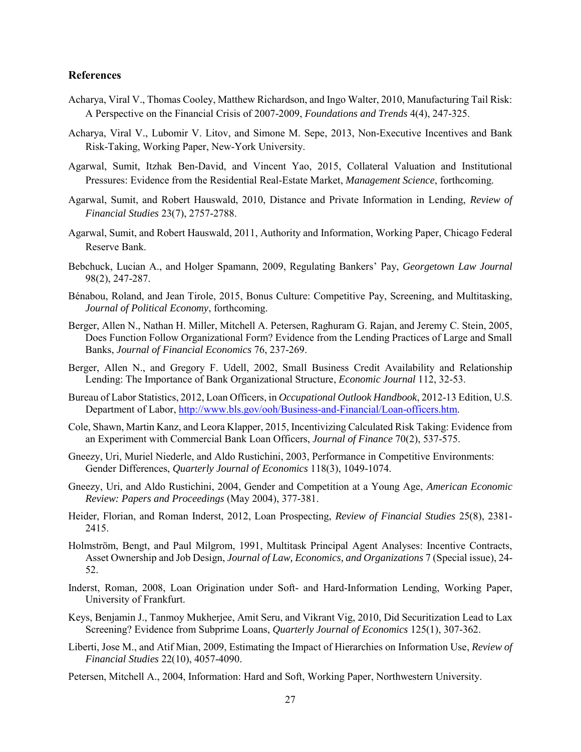#### **References**

- Acharya, Viral V., Thomas Cooley, Matthew Richardson, and Ingo Walter, 2010, Manufacturing Tail Risk: A Perspective on the Financial Crisis of 2007-2009, *Foundations and Trends* 4(4), 247-325.
- Acharya, Viral V., Lubomir V. Litov, and Simone M. Sepe, 2013, Non-Executive Incentives and Bank Risk-Taking, Working Paper, New-York University.
- Agarwal, Sumit, Itzhak Ben-David, and Vincent Yao, 2015, Collateral Valuation and Institutional Pressures: Evidence from the Residential Real-Estate Market, *Management Science*, forthcoming.
- Agarwal, Sumit, and Robert Hauswald, 2010, Distance and Private Information in Lending, *Review of Financial Studies* 23(7), 2757-2788.
- Agarwal, Sumit, and Robert Hauswald, 2011, Authority and Information, Working Paper, Chicago Federal Reserve Bank.
- Bebchuck, Lucian A., and Holger Spamann, 2009, Regulating Bankers' Pay, *Georgetown Law Journal* 98(2), 247-287.
- Bénabou, Roland, and Jean Tirole, 2015, Bonus Culture: Competitive Pay, Screening, and Multitasking, *Journal of Political Economy*, forthcoming.
- Berger, Allen N., Nathan H. Miller, Mitchell A. Petersen, Raghuram G. Rajan, and Jeremy C. Stein, 2005, Does Function Follow Organizational Form? Evidence from the Lending Practices of Large and Small Banks, *Journal of Financial Economics* 76, 237-269.
- Berger, Allen N., and Gregory F. Udell, 2002, Small Business Credit Availability and Relationship Lending: The Importance of Bank Organizational Structure, *Economic Journal* 112, 32-53.
- Bureau of Labor Statistics, 2012, Loan Officers, in *Occupational Outlook Handbook*, 2012-13 Edition, U.S. Department of Labor, [http://www.bls.gov/ooh/Business-and-Financial/Loan-officers.htm.](http://www.bls.gov/ooh/Business-and-Financial/Loan-officers.htm#tab-5)
- Cole, Shawn, Martin Kanz, and Leora Klapper, 2015, Incentivizing Calculated Risk Taking: Evidence from an Experiment with Commercial Bank Loan Officers, *Journal of Finance* 70(2), 537-575.
- Gneezy, Uri, Muriel Niederle, and Aldo Rustichini, 2003, Performance in Competitive Environments: Gender Differences, *Quarterly Journal of Economics* 118(3), 1049-1074.
- Gneezy, Uri, and Aldo Rustichini, 2004, Gender and Competition at a Young Age, *American Economic Review: Papers and Proceedings* (May 2004), 377-381.
- Heider, Florian, and Roman Inderst, 2012, Loan Prospecting, *Review of Financial Studies* 25(8), 2381- 2415.
- Holmström, Bengt, and Paul Milgrom, 1991, Multitask Principal Agent Analyses: Incentive Contracts, Asset Ownership and Job Design, *Journal of Law, Economics, and Organizations* 7 (Special issue), 24- 52.
- Inderst, Roman, 2008, Loan Origination under Soft- and Hard-Information Lending, Working Paper, University of Frankfurt.
- Keys, Benjamin J., Tanmoy Mukherjee, Amit Seru, and Vikrant Vig, 2010, Did Securitization Lead to Lax Screening? Evidence from Subprime Loans, *Quarterly Journal of Economics* 125(1), 307-362.
- Liberti, Jose M., and Atif Mian, 2009, Estimating the Impact of Hierarchies on Information Use, *Review of Financial Studies* 22(10), 4057-4090.
- Petersen, Mitchell A., 2004, Information: Hard and Soft, Working Paper, Northwestern University.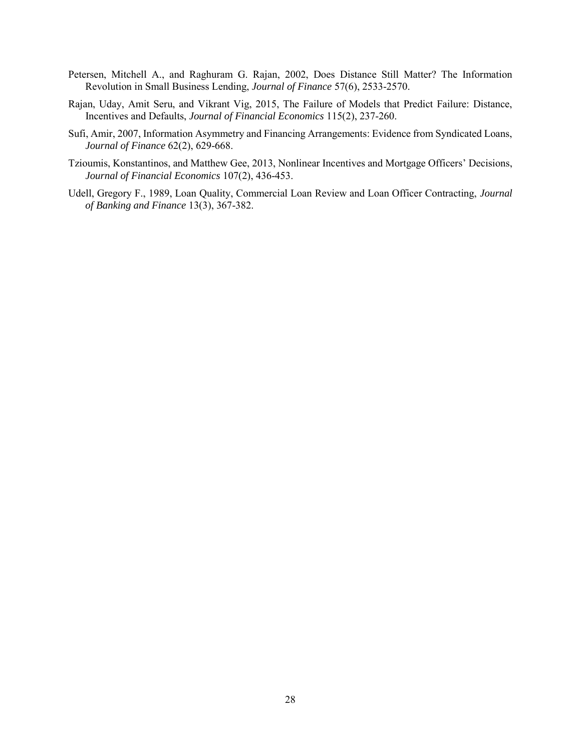- Petersen, Mitchell A., and Raghuram G. Rajan, 2002, Does Distance Still Matter? The Information Revolution in Small Business Lending, *Journal of Finance* 57(6), 2533-2570.
- Rajan, Uday, Amit Seru, and Vikrant Vig, 2015, The Failure of Models that Predict Failure: Distance, Incentives and Defaults, *Journal of Financial Economics* 115(2), 237-260.
- Sufi, Amir, 2007, Information Asymmetry and Financing Arrangements: Evidence from Syndicated Loans, *Journal of Finance* 62(2), 629-668.
- Tzioumis, Konstantinos, and Matthew Gee, 2013, Nonlinear Incentives and Mortgage Officers' Decisions, *Journal of Financial Economics* 107(2), 436-453.
- Udell, Gregory F., 1989, Loan Quality, Commercial Loan Review and Loan Officer Contracting, *Journal of Banking and Finance* 13(3), 367-382.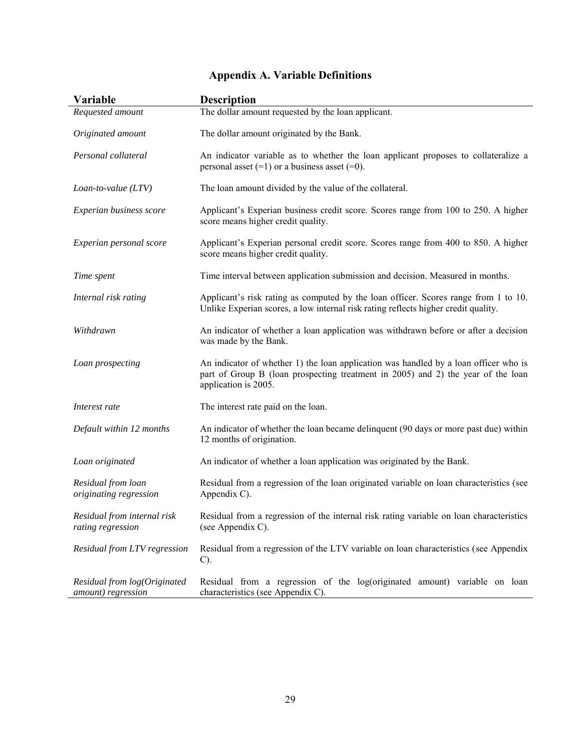| <b>Variable</b>                                    | <b>Description</b>                                                                                                                                                                               |
|----------------------------------------------------|--------------------------------------------------------------------------------------------------------------------------------------------------------------------------------------------------|
| Requested amount                                   | The dollar amount requested by the loan applicant.                                                                                                                                               |
| Originated amount                                  | The dollar amount originated by the Bank.                                                                                                                                                        |
| Personal collateral                                | An indicator variable as to whether the loan applicant proposes to collateralize a<br>personal asset $(=1)$ or a business asset $(=0)$ .                                                         |
| $Loan-to-value (LTV)$                              | The loan amount divided by the value of the collateral.                                                                                                                                          |
| Experian business score                            | Applicant's Experian business credit score. Scores range from 100 to 250. A higher<br>score means higher credit quality.                                                                         |
| Experian personal score                            | Applicant's Experian personal credit score. Scores range from 400 to 850. A higher<br>score means higher credit quality.                                                                         |
| Time spent                                         | Time interval between application submission and decision. Measured in months.                                                                                                                   |
| Internal risk rating                               | Applicant's risk rating as computed by the loan officer. Scores range from 1 to 10.<br>Unlike Experian scores, a low internal risk rating reflects higher credit quality.                        |
| Withdrawn                                          | An indicator of whether a loan application was withdrawn before or after a decision<br>was made by the Bank.                                                                                     |
| Loan prospecting                                   | An indicator of whether 1) the loan application was handled by a loan officer who is<br>part of Group B (loan prospecting treatment in 2005) and 2) the year of the loan<br>application is 2005. |
| Interest rate                                      | The interest rate paid on the loan.                                                                                                                                                              |
| Default within 12 months                           | An indicator of whether the loan became delinguent (90 days or more past due) within<br>12 months of origination.                                                                                |
| Loan originated                                    | An indicator of whether a loan application was originated by the Bank.                                                                                                                           |
| Residual from loan<br>originating regression       | Residual from a regression of the loan originated variable on loan characteristics (see<br>Appendix C).                                                                                          |
| Residual from internal risk<br>rating regression   | Residual from a regression of the internal risk rating variable on loan characteristics<br>(see Appendix C).                                                                                     |
| Residual from LTV regression                       | Residual from a regression of the LTV variable on loan characteristics (see Appendix<br>$C$ ).                                                                                                   |
| Residual from log(Originated<br>amount) regression | Residual from a regression of the log(originated amount) variable on loan<br>characteristics (see Appendix C).                                                                                   |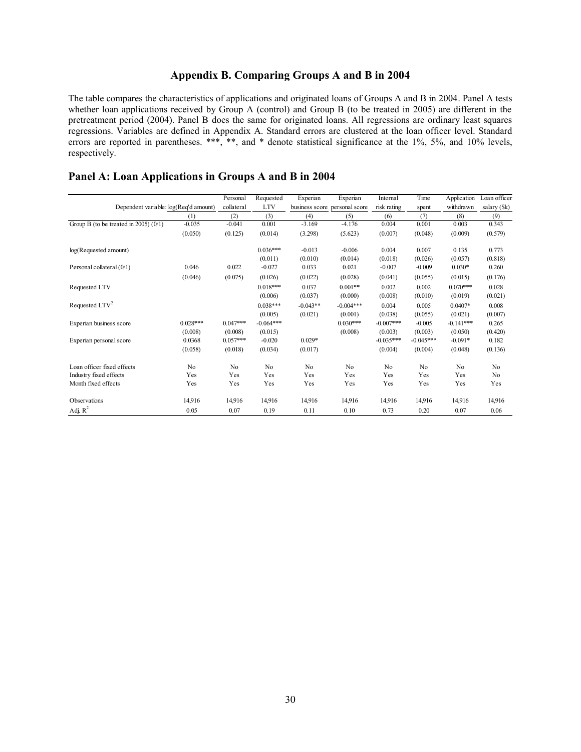#### **Appendix B. Comparing Groups A and B in 2004**

The table compares the characteristics of applications and originated loans of Groups A and B in 2004. Panel A tests whether loan applications received by Group A (control) and Group B (to be treated in 2005) are different in the pretreatment period (2004). Panel B does the same for originated loans. All regressions are ordinary least squares regressions. Variables are defined in Appendix A. Standard errors are clustered at the loan officer level. Standard errors are reported in parentheses. \*\*\*, \*\*, and \* denote statistical significance at the 1%, 5%, and 10% levels, respectively.

|                                         |            | Personal   | Requested   | Experian   | Experian                      | Internal    | Time        | Application | Loan officer |
|-----------------------------------------|------------|------------|-------------|------------|-------------------------------|-------------|-------------|-------------|--------------|
| Dependent variable: log(Req'd amount)   |            | collateral | <b>LTV</b>  |            | business score personal score | risk rating | spent       | withdrawn   | salary (\$k) |
|                                         | (1)        | (2)        | (3)         | (4)        | (5)                           | (6)         | (7)         | (8)         | (9)          |
| Group B (to be treated in 2005) $(0/1)$ | $-0.035$   | $-0.041$   | 0.001       | $-3.169$   | $-4.176$                      | 0.004       | 0.001       | 0.003       | 0.343        |
|                                         | (0.050)    | (0.125)    | (0.014)     | (3.298)    | (5.623)                       | (0.007)     | (0.048)     | (0.009)     | (0.579)      |
| log(Requested amount)                   |            |            | $0.036***$  | $-0.013$   | $-0.006$                      | 0.004       | 0.007       | 0.135       | 0.773        |
|                                         |            |            | (0.011)     | (0.010)    | (0.014)                       | (0.018)     | (0.026)     | (0.057)     | (0.818)      |
| Personal collateral (0/1)               | 0.046      | 0.022      | $-0.027$    | 0.033      | 0.021                         | $-0.007$    | $-0.009$    | $0.030*$    | 0.260        |
|                                         | (0.046)    | (0.075)    | (0.026)     | (0.022)    | (0.028)                       | (0.041)     | (0.055)     | (0.015)     | (0.176)      |
| Requested LTV                           |            |            | $0.018***$  | 0.037      | $0.001**$                     | 0.002       | 0.002       | $0.070***$  | 0.028        |
|                                         |            |            | (0.006)     | (0.037)    | (0.000)                       | (0.008)     | (0.010)     | (0.019)     | (0.021)      |
| Requested LTV <sup>2</sup>              |            |            | $0.038***$  | $-0.043**$ | $-0.004***$                   | 0.004       | 0.005       | $0.0407*$   | 0.008        |
|                                         |            |            | (0.005)     | (0.021)    | (0.001)                       | (0.038)     | (0.055)     | (0.021)     | (0.007)      |
| Experian business score                 | $0.028***$ | $0.047***$ | $-0.064***$ |            | $0.030***$                    | $-0.007***$ | $-0.005$    | $-0.141***$ | 0.265        |
|                                         | (0.008)    | (0.008)    | (0.015)     |            | (0.008)                       | (0.003)     | (0.003)     | (0.050)     | (0.420)      |
| Experian personal score                 | 0.0368     | $0.057***$ | $-0.020$    | $0.029*$   |                               | $-0.035***$ | $-0.045***$ | $-0.091*$   | 0.182        |
|                                         | (0.058)    | (0.018)    | (0.034)     | (0.017)    |                               | (0.004)     | (0.004)     | (0.048)     | (0.136)      |
| Loan officer fixed effects              | No         | No         | No          | No         | No                            | No          | No          | No          | No           |
| Industry fixed effects                  | Yes        | Yes        | Yes         | Yes        | Yes                           | Yes         | Yes         | Yes         | No           |
| Month fixed effects                     | Yes        | Yes        | Yes         | Yes        | Yes                           | Yes         | Yes         | Yes         | Yes          |
| Observations                            | 14,916     | 14,916     | 14,916      | 14.916     | 14,916                        | 14,916      | 14,916      | 14.916      | 14,916       |
| Adj. $R^2$                              | 0.05       | 0.07       | 0.19        | 0.11       | 0.10                          | 0.73        | 0.20        | 0.07        | 0.06         |

#### **Panel A: Loan Applications in Groups A and B in 2004**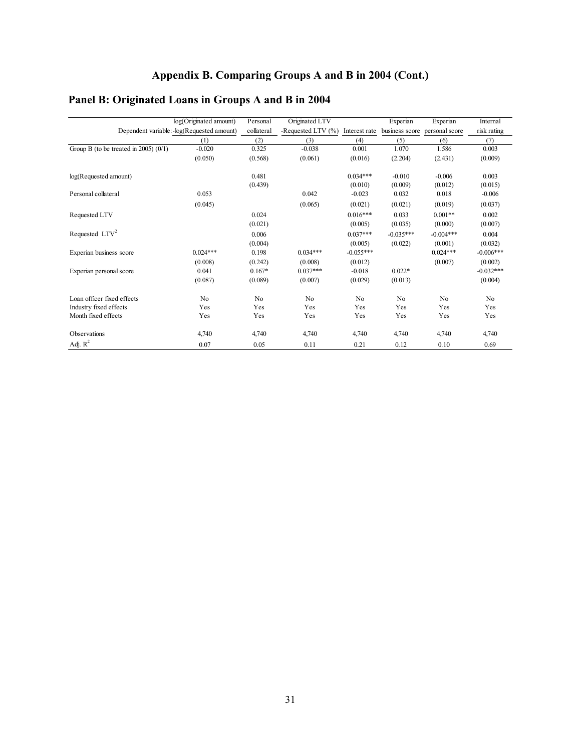#### **Panel B: Originated Loans in Groups A and B in 2004**

|                                         | log(Originated amount)                      | Personal   | Originated LTV     |               | Experian       | Experian       | Internal    |
|-----------------------------------------|---------------------------------------------|------------|--------------------|---------------|----------------|----------------|-------------|
|                                         | Dependent variable: - log(Requested amount) | collateral | -Requested LTV (%) | Interest rate | business score | personal score | risk rating |
|                                         | (1)                                         | (2)        | (3)                | (4)           | (5)            | (6)            | (7)         |
| Group B (to be treated in 2005) $(0/1)$ | $-0.020$                                    | 0.325      | $-0.038$           | 0.001         | 1.070          | 1.586          | 0.003       |
|                                         | (0.050)                                     | (0.568)    | (0.061)            | (0.016)       | (2.204)        | (2.431)        | (0.009)     |
| log(Requested amount)                   |                                             | 0.481      |                    | $0.034***$    | $-0.010$       | $-0.006$       | 0.003       |
|                                         |                                             | (0.439)    |                    | (0.010)       | (0.009)        | (0.012)        | (0.015)     |
| Personal collateral                     | 0.053                                       |            | 0.042              | $-0.023$      | 0.032          | 0.018          | $-0.006$    |
|                                         | (0.045)                                     |            | (0.065)            | (0.021)       | (0.021)        | (0.019)        | (0.037)     |
| Requested LTV                           |                                             | 0.024      |                    | $0.016***$    | 0.033          | $0.001**$      | 0.002       |
|                                         |                                             | (0.021)    |                    | (0.005)       | (0.035)        | (0.000)        | (0.007)     |
| Requested LTV <sup>2</sup>              |                                             | 0.006      |                    | $0.037***$    | $-0.035***$    | $-0.004***$    | 0.004       |
|                                         |                                             | (0.004)    |                    | (0.005)       | (0.022)        | (0.001)        | (0.032)     |
| Experian business score                 | $0.024***$                                  | 0.198      | $0.034***$         | $-0.055***$   |                | $0.024***$     | $-0.006***$ |
|                                         | (0.008)                                     | (0.242)    | (0.008)            | (0.012)       |                | (0.007)        | (0.002)     |
| Experian personal score                 | 0.041                                       | $0.167*$   | $0.037***$         | $-0.018$      | $0.022*$       |                | $-0.032***$ |
|                                         | (0.087)                                     | (0.089)    | (0.007)            | (0.029)       | (0.013)        |                | (0.004)     |
| Loan officer fixed effects              | No                                          | No         | No                 | No            | No             | No             | No          |
| Industry fixed effects                  | Yes                                         | Yes        | Yes                | Yes           | Yes            | Yes            | Yes         |
| Month fixed effects                     | Yes                                         | Yes        | Yes                | Yes           | Yes            | Yes            | Yes         |
| Observations                            | 4,740                                       | 4,740      | 4,740              | 4,740         | 4,740          | 4,740          | 4,740       |
| Adj. $R^2$                              | 0.07                                        | 0.05       | 0.11               | 0.21          | 0.12           | 0.10           | 0.69        |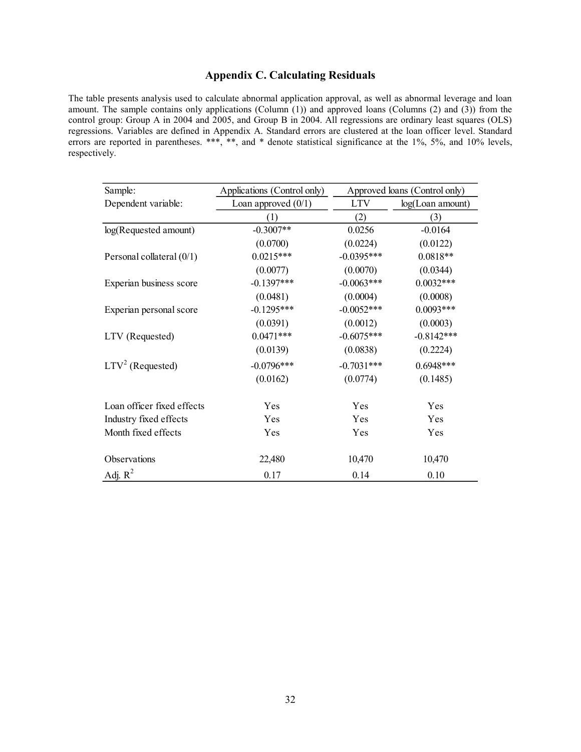## **Appendix C. Calculating Residuals**

The table presents analysis used to calculate abnormal application approval, as well as abnormal leverage and loan amount. The sample contains only applications (Column (1)) and approved loans (Columns (2) and (3)) from the control group: Group A in 2004 and 2005, and Group B in 2004. All regressions are ordinary least squares (OLS) regressions. Variables are defined in Appendix A. Standard errors are clustered at the loan officer level. Standard errors are reported in parentheses. \*\*\*, \*\*, and \* denote statistical significance at the 1%, 5%, and 10% levels, respectively.

| Sample:                     | Applications (Control only) |              | Approved loans (Control only) |
|-----------------------------|-----------------------------|--------------|-------------------------------|
| Dependent variable:         | Loan approved $(0/1)$       | <b>LTV</b>   | log(Loan amount)              |
|                             | (1)                         | (2)          | (3)                           |
| log(Requested amount)       | $-0.3007**$                 | 0.0256       | $-0.0164$                     |
|                             | (0.0700)                    | (0.0224)     | (0.0122)                      |
| Personal collateral $(0/1)$ | $0.0215***$                 | $-0.0395***$ | $0.0818**$                    |
|                             | (0.0077)                    | (0.0070)     | (0.0344)                      |
| Experian business score     | $-0.1397***$                | $-0.0063***$ | $0.0032***$                   |
|                             | (0.0481)                    | (0.0004)     | (0.0008)                      |
| Experian personal score     | $-0.1295***$                | $-0.0052***$ | $0.0093***$                   |
|                             | (0.0391)                    | (0.0012)     | (0.0003)                      |
| LTV (Requested)             | $0.0471***$                 | $-0.6075***$ | $-0.8142***$                  |
|                             | (0.0139)                    | (0.0838)     | (0.2224)                      |
| $LTV2$ (Requested)          | $-0.0796***$                | $-0.7031***$ | $0.6948***$                   |
|                             | (0.0162)                    | (0.0774)     | (0.1485)                      |
| Loan officer fixed effects  | Yes                         | Yes          | Yes                           |
| Industry fixed effects      | Yes                         | Yes          | Yes                           |
| Month fixed effects         | Yes                         | Yes          | Yes                           |
| <b>Observations</b>         | 22,480                      | 10,470       | 10,470                        |
| Adj. $R^2$                  | 0.17                        | 0.14         | 0.10                          |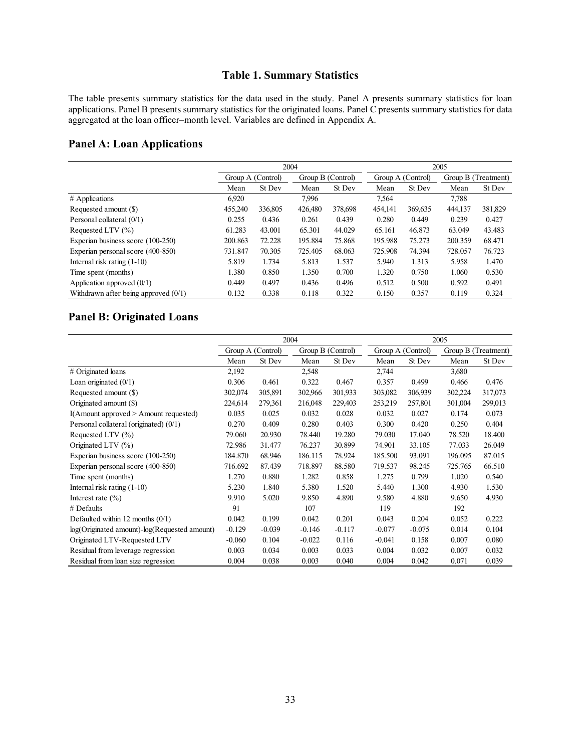## **Table 1. Summary Statistics**

The table presents summary statistics for the data used in the study. Panel A presents summary statistics for loan applications. Panel B presents summary statistics for the originated loans. Panel C presents summary statistics for data aggregated at the loan officer–month level. Variables are defined in Appendix A.

#### **Panel A: Loan Applications**

|                                        |         |                   |         | 2005              |         |                   |         |                     |  |
|----------------------------------------|---------|-------------------|---------|-------------------|---------|-------------------|---------|---------------------|--|
|                                        |         | Group A (Control) |         | Group B (Control) |         | Group A (Control) |         | Group B (Treatment) |  |
|                                        | Mean    | St Dev            | Mean    | St Dev            | Mean    | St Dev            | Mean    | St Dev              |  |
| # Applications                         | 6.920   |                   | 7,996   |                   | 7,564   |                   | 7,788   |                     |  |
| Requested amount (\$)                  | 455,240 | 336,805           | 426,480 | 378,698           | 454,141 | 369,635           | 444,137 | 381,829             |  |
| Personal collateral (0/1)              | 0.255   | 0.436             | 0.261   | 0.439             | 0.280   | 0.449             | 0.239   | 0.427               |  |
| Requested LTV $(\% )$                  | 61.283  | 43.001            | 65.301  | 44.029            | 65.161  | 46.873            | 63.049  | 43.483              |  |
| Experian business score (100-250)      | 200.863 | 72.228            | 195.884 | 75.868            | 195.988 | 75.273            | 200.359 | 68.471              |  |
| Experian personal score (400-850)      | 731.847 | 70.305            | 725.405 | 68.063            | 725.908 | 74.394            | 728.057 | 76.723              |  |
| Internal risk rating $(1-10)$          | 5.819   | 1.734             | 5.813   | 1.537             | 5.940   | 1.313             | 5.958   | 1.470               |  |
| Time spent (months)                    | 1.380   | 0.850             | 1.350   | 0.700             | 1.320   | 0.750             | 1.060   | 0.530               |  |
| Application approved $(0/1)$           | 0.449   | 0.497             | 0.436   | 0.496             | 0.512   | 0.500             | 0.592   | 0.491               |  |
| Withdrawn after being approved $(0/1)$ | 0.132   | 0.338             | 0.118   | 0.322             | 0.150   | 0.357             | 0.119   | 0.324               |  |

# **Panel B: Originated Loans**

|                                              |          |                   | 2004              |          | 2005              |          |                     |         |
|----------------------------------------------|----------|-------------------|-------------------|----------|-------------------|----------|---------------------|---------|
|                                              |          | Group A (Control) | Group B (Control) |          | Group A (Control) |          | Group B (Treatment) |         |
|                                              | Mean     | St Dev            | Mean              | St Dev   | Mean              | St Dev   | Mean                | St Dev  |
| # Originated loans                           | 2,192    |                   | 2,548             |          | 2,744             |          | 3,680               |         |
| Loan originated $(0/1)$                      | 0.306    | 0.461             | 0.322             | 0.467    | 0.357             | 0.499    | 0.466               | 0.476   |
| Requested amount (\$)                        | 302,074  | 305,891           | 302,966           | 301,933  | 303,082           | 306,939  | 302,224             | 317,073 |
| Originated amount (\$)                       | 224,614  | 279,361           | 216,048           | 229,403  | 253,219           | 257,801  | 301,004             | 299,013 |
| $I(A$ mount approved $> A$ mount requested)  | 0.035    | 0.025             | 0.032             | 0.028    | 0.032             | 0.027    | 0.174               | 0.073   |
| Personal collateral (originated) (0/1)       | 0.270    | 0.409             | 0.280             | 0.403    | 0.300             | 0.420    | 0.250               | 0.404   |
| Requested LTV (%)                            | 79.060   | 20.930            | 78.440            | 19.280   | 79.030            | 17.040   | 78.520              | 18.400  |
| Originated LTV (%)                           | 72.986   | 31.477            | 76.237            | 30.899   | 74.901            | 33.105   | 77.033              | 26.049  |
| Experian business score (100-250)            | 184.870  | 68.946            | 186.115           | 78.924   | 185.500           | 93.091   | 196.095             | 87.015  |
| Experian personal score (400-850)            | 716.692  | 87.439            | 718.897           | 88.580   | 719.537           | 98.245   | 725.765             | 66.510  |
| Time spent (months)                          | 1.270    | 0.880             | 1.282             | 0.858    | 1.275             | 0.799    | 1.020               | 0.540   |
| Internal risk rating (1-10)                  | 5.230    | 1.840             | 5.380             | 1.520    | 5.440             | 1.300    | 4.930               | 1.530   |
| Interest rate $(\% )$                        | 9.910    | 5.020             | 9.850             | 4.890    | 9.580             | 4.880    | 9.650               | 4.930   |
| # Defaults                                   | 91       |                   | 107               |          | 119               |          | 192                 |         |
| Defaulted within 12 months $(0/1)$           | 0.042    | 0.199             | 0.042             | 0.201    | 0.043             | 0.204    | 0.052               | 0.222   |
| log(Originated amount)-log(Requested amount) | $-0.129$ | $-0.039$          | $-0.146$          | $-0.117$ | $-0.077$          | $-0.075$ | 0.014               | 0.104   |
| Originated LTV-Requested LTV                 | $-0.060$ | 0.104             | $-0.022$          | 0.116    | $-0.041$          | 0.158    | 0.007               | 0.080   |
| Residual from leverage regression            | 0.003    | 0.034             | 0.003             | 0.033    | 0.004             | 0.032    | 0.007               | 0.032   |
| Residual from loan size regression           | 0.004    | 0.038             | 0.003             | 0.040    | 0.004             | 0.042    | 0.071               | 0.039   |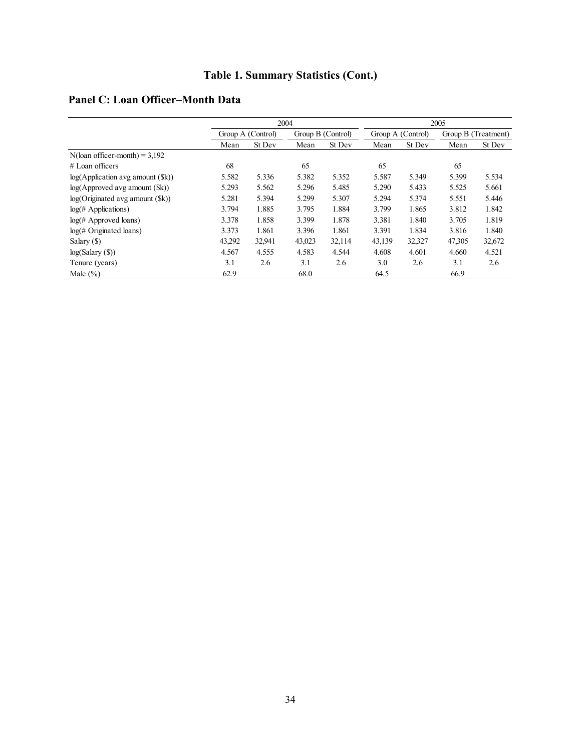# **Table 1. Summary Statistics (Cont.)**

|  | Panel C: Loan Officer–Month Data |  |  |
|--|----------------------------------|--|--|
|  |                                  |  |  |

|                                  |                   | 2004   |                   |        |        |                   | 2005   |                     |  |
|----------------------------------|-------------------|--------|-------------------|--------|--------|-------------------|--------|---------------------|--|
|                                  | Group A (Control) |        | Group B (Control) |        |        | Group A (Control) |        | Group B (Treatment) |  |
|                                  | Mean              | St Dev | Mean              | St Dev | Mean   | St Dev            | Mean   | St Dev              |  |
| $N$ (loan officer-month) = 3,192 |                   |        |                   |        |        |                   |        |                     |  |
| $#$ Loan officers                | 68                |        | 65                |        | 65     |                   | 65     |                     |  |
| log(Application avg amount ()    | 5.582             | 5.336  | 5.382             | 5.352  | 5.587  | 5.349             | 5.399  | 5.534               |  |
| log(Approved avg amount ()       | 5.293             | 5.562  | 5.296             | 5.485  | 5.290  | 5.433             | 5.525  | 5.661               |  |
| log(Originaled avg amount (\$k)) | 5.281             | 5.394  | 5.299             | 5.307  | 5.294  | 5.374             | 5.551  | 5.446               |  |
| $log(\# \text{Applications})$    | 3.794             | 1.885  | 3.795             | 1.884  | 3.799  | 1.865             | 3.812  | 1.842               |  |
| $log(\#$ Approved loans)         | 3.378             | 1.858  | 3.399             | 1.878  | 3.381  | 1.840             | 3.705  | 1.819               |  |
| $log($ # Originated loans)       | 3.373             | 1.861  | 3.396             | 1.861  | 3.391  | 1.834             | 3.816  | 1.840               |  |
| Salary (\$)                      | 43,292            | 32,941 | 43,023            | 32,114 | 43,139 | 32,327            | 47,305 | 32,672              |  |
| log(Salary(S))                   | 4.567             | 4.555  | 4.583             | 4.544  | 4.608  | 4.601             | 4.660  | 4.521               |  |
| Tenure (years)                   | 3.1               | 2.6    | 3.1               | 2.6    | 3.0    | 2.6               | 3.1    | 2.6                 |  |
| Male $(\% )$                     | 62.9              |        | 68.0              |        | 64.5   |                   | 66.9   |                     |  |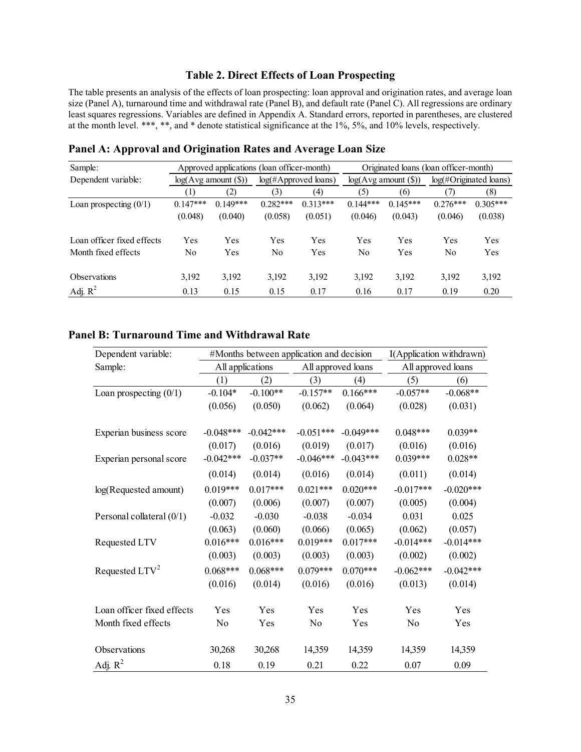#### **Table 2. Direct Effects of Loan Prospecting**

The table presents an analysis of the effects of loan prospecting: loan approval and origination rates, and average loan size (Panel A), turnaround time and withdrawal rate (Panel B), and default rate (Panel C). All regressions are ordinary least squares regressions. Variables are defined in Appendix A. Standard errors, reported in parentheses, are clustered at the month level. \*\*\*, \*\*, and \* denote statistical significance at the 1%, 5%, and 10% levels, respectively.

| Sample:                    |                  |                          | Approved applications (loan officer-month) |                         | Originated loans (loan officer-month) |                          |                           |            |  |
|----------------------------|------------------|--------------------------|--------------------------------------------|-------------------------|---------------------------------------|--------------------------|---------------------------|------------|--|
| Dependent variable:        |                  | $log(Avg$ amount $(\$))$ |                                            | $log(\#Approved loans)$ |                                       | $log(Avg$ amount $(\$))$ | $log(\#Originaled loans)$ |            |  |
|                            | $\left(1\right)$ | (2)                      | (3)                                        | (4)                     | (5)                                   | (6)                      | (7)                       | (8)        |  |
| Loan prospecting $(0/1)$   | $0.147***$       | $0.149***$               | $0.282***$                                 | $0.313***$              | $0.144***$                            | $0.145***$               | $0.276***$                | $0.305***$ |  |
|                            | (0.048)          | (0.040)                  | (0.058)                                    | (0.051)                 | (0.046)                               | (0.043)                  | (0.046)                   | (0.038)    |  |
| Loan officer fixed effects | Yes              | Yes                      | Yes                                        | Yes                     | Yes                                   | Yes                      | Yes                       | <b>Yes</b> |  |
| Month fixed effects        | No               | Yes                      | No                                         | Yes                     | No                                    | Yes                      | No                        | Yes        |  |
| <b>Observations</b>        | 3,192            | 3,192                    | 3,192                                      | 3,192                   | 3,192                                 | 3,192                    | 3,192                     | 3,192      |  |
| Adj. $R^2$                 | 0.13             | 0.15                     | 0.15                                       | 0.17                    | 0.16                                  | 0.17                     | 0.19                      | 0.20       |  |

**Panel A: Approval and Origination Rates and Average Loan Size** 

### **Panel B: Turnaround Time and Withdrawal Rate**

| Dependent variable:        |                  |             | #Months between application and decision |                    |                    | I(Application withdrawn) |
|----------------------------|------------------|-------------|------------------------------------------|--------------------|--------------------|--------------------------|
| Sample:                    | All applications |             |                                          | All approved loans | All approved loans |                          |
|                            | (1)              | (2)         | (3)                                      | (4)                | (5)                | (6)                      |
| Loan prospecting $(0/1)$   | $-0.104*$        | $-0.100**$  | $-0.157**$                               | $0.166***$         | $-0.057**$         | $-0.068**$               |
|                            | (0.056)          | (0.050)     | (0.062)                                  | (0.064)            | (0.028)            | (0.031)                  |
| Experian business score    | $-0.048***$      | $-0.042***$ | $-0.051***$                              | $-0.049***$        | $0.048***$         | $0.039**$                |
|                            | (0.017)          | (0.016)     | (0.019)                                  | (0.017)            | (0.016)            | (0.016)                  |
| Experian personal score    | $-0.042***$      | $-0.037**$  | $-0.046***$                              | $-0.043***$        | $0.039***$         | $0.028**$                |
|                            | (0.014)          | (0.014)     | (0.016)                                  | (0.014)            | (0.011)            | (0.014)                  |
| log(Requested amount)      | $0.019***$       | $0.017***$  | $0.021***$                               | $0.020***$         | $-0.017***$        | $-0.020***$              |
|                            | (0.007)          | (0.006)     | (0.007)                                  | (0.007)            | (0.005)            | (0.004)                  |
| Personal collateral (0/1)  | $-0.032$         | $-0.030$    | $-0.038$                                 | $-0.034$           | 0.031              | 0.025                    |
|                            | (0.063)          | (0.060)     | (0.066)                                  | (0.065)            | (0.062)            | (0.057)                  |
| Requested LTV              | $0.016***$       | $0.016***$  | $0.019***$                               | $0.017***$         | $-0.014***$        | $-0.014***$              |
|                            | (0.003)          | (0.003)     | (0.003)                                  | (0.003)            | (0.002)            | (0.002)                  |
| Requested $LTV^2$          | $0.068***$       | $0.068***$  | $0.079***$                               | $0.070***$         | $-0.062***$        | $-0.042***$              |
|                            | (0.016)          | (0.014)     | (0.016)                                  | (0.016)            | (0.013)            | (0.014)                  |
| Loan officer fixed effects | Yes              | Yes         | Yes                                      | Yes                | Yes                | Yes                      |
| Month fixed effects        | No               | Yes         | No                                       | Yes                | No                 | Yes                      |
| Observations               | 30,268           | 30,268      | 14,359                                   | 14,359             | 14,359             | 14,359                   |
| Adj. $R^2$                 | 0.18             | 0.19        | 0.21                                     | 0.22               | 0.07               | 0.09                     |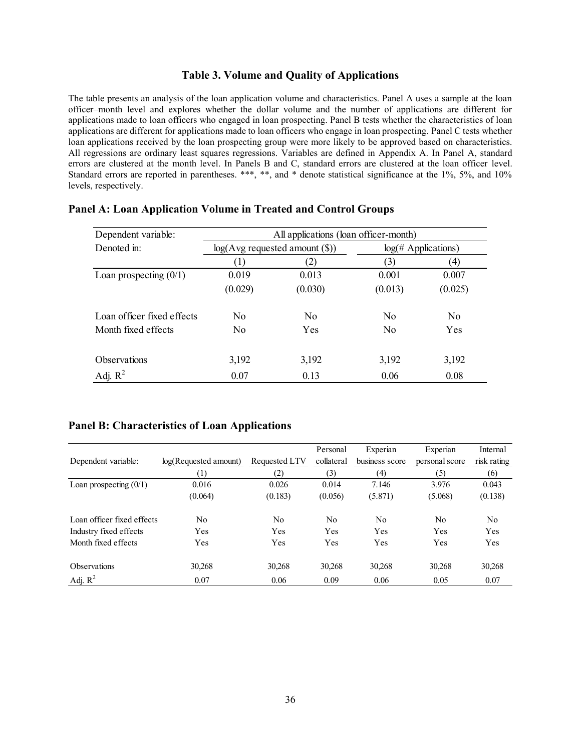#### **Table 3. Volume and Quality of Applications**

The table presents an analysis of the loan application volume and characteristics. Panel A uses a sample at the loan officer–month level and explores whether the dollar volume and the number of applications are different for applications made to loan officers who engaged in loan prospecting. Panel B tests whether the characteristics of loan applications are different for applications made to loan officers who engage in loan prospecting. Panel C tests whether loan applications received by the loan prospecting group were more likely to be approved based on characteristics. All regressions are ordinary least squares regressions. Variables are defined in Appendix A. In Panel A, standard errors are clustered at the month level. In Panels B and C, standard errors are clustered at the loan officer level. Standard errors are reported in parentheses. \*\*\*, \*\*, and \* denote statistical significance at the 1%, 5%, and 10% levels, respectively.

| Dependent variable:        | All applications (loan officer-month) |                                    |                  |                               |  |  |  |  |
|----------------------------|---------------------------------------|------------------------------------|------------------|-------------------------------|--|--|--|--|
| Denoted in:                |                                       | $log(Avg$ requested amount $(\$))$ |                  | $log(\# \text{Applications})$ |  |  |  |  |
|                            |                                       |                                    | $\left[3\right]$ | (4)                           |  |  |  |  |
| Loan prospecting $(0/1)$   | 0.019                                 | 0.013                              | 0.001            | 0.007                         |  |  |  |  |
|                            | (0.029)                               | (0.030)                            | (0.013)          | (0.025)                       |  |  |  |  |
| Loan officer fixed effects | No                                    | N <sub>0</sub>                     | N <sub>0</sub>   | N <sub>0</sub>                |  |  |  |  |
| Month fixed effects        | No                                    | Yes                                | N <sub>0</sub>   | Yes                           |  |  |  |  |
| <b>Observations</b>        | 3,192                                 | 3,192                              | 3,192            | 3,192                         |  |  |  |  |
| Adj. $R^2$                 | 0.07                                  | 0.13                               | 0.06             | 0.08                          |  |  |  |  |

#### **Panel A: Loan Application Volume in Treated and Control Groups**

#### **Panel B: Characteristics of Loan Applications**

|                            |                       |                | Personal   | Experian       | Experian       | Internal       |
|----------------------------|-----------------------|----------------|------------|----------------|----------------|----------------|
| Dependent variable:        | log(Requested amount) | Requested LTV  | collateral | business score | personal score | risk rating    |
|                            | [1]                   | (2)            | (3)        | (4)            | (5)            | (6)            |
| Loan prospecting $(0/1)$   | 0.016                 | 0.026          | 0.014      | 7.146          | 3.976          | 0.043          |
|                            | (0.064)               | (0.183)        | (0.056)    | (5.871)        | (5.068)        | (0.138)        |
| Loan officer fixed effects | No                    | N <sub>0</sub> | No         | No             | No             | N <sub>o</sub> |
| Industry fixed effects     | Yes                   | Yes            | Yes        | Yes            | Yes            | Yes            |
| Month fixed effects        | Yes                   | Yes            | Yes        | Yes            | Yes            | Yes            |
| <b>Observations</b>        | 30,268                | 30,268         | 30,268     | 30,268         | 30.268         | 30,268         |
| Adj. $R^2$                 | 0.07                  | 0.06           | 0.09       | 0.06           | 0.05           | 0.07           |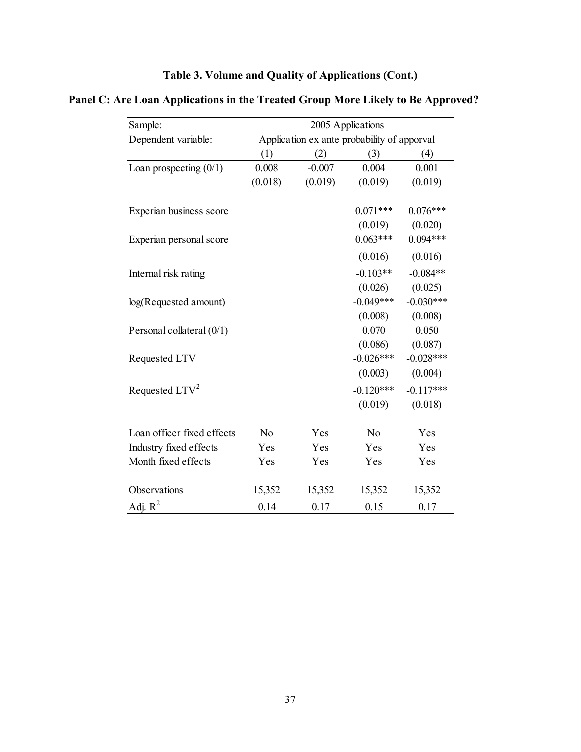| Table 3. Volume and Quality of Applications (Cont.) |  |  |  |
|-----------------------------------------------------|--|--|--|
|-----------------------------------------------------|--|--|--|

| Panel C: Are Loan Applications in the Treated Group More Likely to Be Approved? |  |  |  |
|---------------------------------------------------------------------------------|--|--|--|
|                                                                                 |  |  |  |

| Sample:                     | 2005 Applications |          |                                             |             |  |  |  |
|-----------------------------|-------------------|----------|---------------------------------------------|-------------|--|--|--|
| Dependent variable:         |                   |          | Application ex ante probability of apporval |             |  |  |  |
|                             | (1)               | (2)      | (3)                                         | (4)         |  |  |  |
| Loan prospecting $(0/1)$    | 0.008             | $-0.007$ | 0.004                                       | 0.001       |  |  |  |
|                             | (0.018)           | (0.019)  | (0.019)                                     | (0.019)     |  |  |  |
| Experian business score     |                   |          | $0.071***$                                  | $0.076***$  |  |  |  |
|                             |                   |          | (0.019)                                     | (0.020)     |  |  |  |
| Experian personal score     |                   |          | $0.063***$                                  | $0.094***$  |  |  |  |
|                             |                   |          | (0.016)                                     | (0.016)     |  |  |  |
| Internal risk rating        |                   |          | $-0.103**$                                  | $-0.084**$  |  |  |  |
|                             |                   |          | (0.026)                                     | (0.025)     |  |  |  |
| log(Requested amount)       |                   |          | $-0.049***$                                 | $-0.030***$ |  |  |  |
|                             |                   |          | (0.008)                                     | (0.008)     |  |  |  |
| Personal collateral $(0/1)$ |                   |          | 0.070                                       | 0.050       |  |  |  |
|                             |                   |          | (0.086)                                     | (0.087)     |  |  |  |
| Requested LTV               |                   |          | $-0.026***$                                 | $-0.028***$ |  |  |  |
|                             |                   |          | (0.003)                                     | (0.004)     |  |  |  |
| Requested $LTV^2$           |                   |          | $-0.120***$                                 | $-0.117***$ |  |  |  |
|                             |                   |          | (0.019)                                     | (0.018)     |  |  |  |
| Loan officer fixed effects  | N <sub>o</sub>    | Yes      | No                                          | Yes         |  |  |  |
| Industry fixed effects      | Yes               | Yes      | Yes                                         | Yes         |  |  |  |
| Month fixed effects         | Yes               | Yes      | Yes                                         | Yes         |  |  |  |
| Observations                | 15,352            | 15,352   | 15,352                                      | 15,352      |  |  |  |
| Adj. $R^2$                  | 0.14              | 0.17     | 0.15                                        | 0.17        |  |  |  |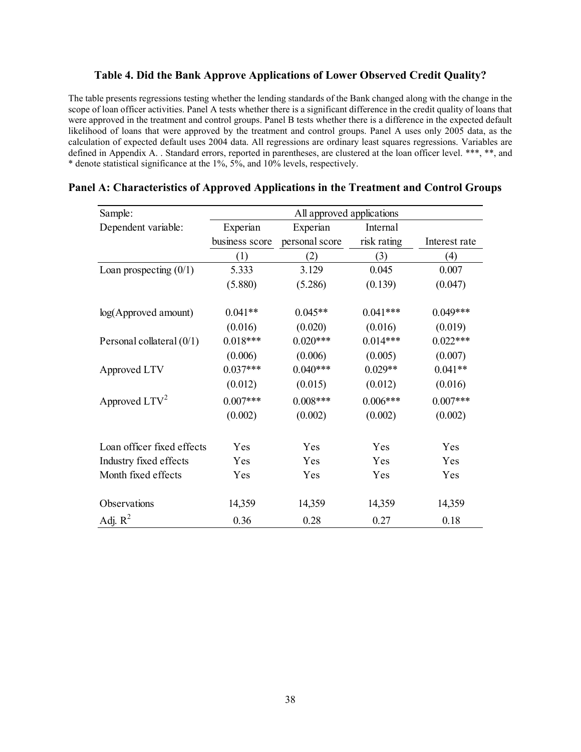#### **Table 4. Did the Bank Approve Applications of Lower Observed Credit Quality?**

The table presents regressions testing whether the lending standards of the Bank changed along with the change in the scope of loan officer activities. Panel A tests whether there is a significant difference in the credit quality of loans that were approved in the treatment and control groups. Panel B tests whether there is a difference in the expected default likelihood of loans that were approved by the treatment and control groups. Panel A uses only 2005 data, as the calculation of expected default uses 2004 data. All regressions are ordinary least squares regressions. Variables are defined in Appendix A. . Standard errors, reported in parentheses, are clustered at the loan officer level. \*\*\*, \*\*, and \* denote statistical significance at the 1%, 5%, and 10% levels, respectively.

| Sample:                     | All approved applications |                |             |               |  |  |  |
|-----------------------------|---------------------------|----------------|-------------|---------------|--|--|--|
| Dependent variable:         | Experian                  | Experian       | Internal    |               |  |  |  |
|                             | business score            | personal score | risk rating | Interest rate |  |  |  |
|                             | (1)                       | (2)            | (3)         | (4)           |  |  |  |
| Loan prospecting $(0/1)$    | 5.333                     | 3.129          | 0.045       | 0.007         |  |  |  |
|                             | (5.880)                   | (5.286)        | (0.139)     | (0.047)       |  |  |  |
| log(Approved amount)        | $0.041**$                 | $0.045**$      | $0.041***$  | $0.049***$    |  |  |  |
|                             | (0.016)                   | (0.020)        | (0.016)     | (0.019)       |  |  |  |
| Personal collateral $(0/1)$ | $0.018***$                | $0.020***$     | $0.014***$  | $0.022***$    |  |  |  |
|                             | (0.006)                   | (0.006)        | (0.005)     | (0.007)       |  |  |  |
| Approved LTV                | $0.037***$                | $0.040***$     | $0.029**$   | $0.041**$     |  |  |  |
|                             | (0.012)                   | (0.015)        | (0.012)     | (0.016)       |  |  |  |
| Approved LTV <sup>2</sup>   | $0.007***$                | $0.008***$     | $0.006***$  | $0.007***$    |  |  |  |
|                             | (0.002)                   | (0.002)        | (0.002)     | (0.002)       |  |  |  |
| Loan officer fixed effects  | Yes                       | Yes            | Yes         | Yes           |  |  |  |
| Industry fixed effects      | Yes                       | Yes            | Yes         | Yes           |  |  |  |
| Month fixed effects         | Yes                       | Yes            | Yes         | Yes           |  |  |  |
| Observations                | 14,359                    | 14,359         | 14,359      | 14,359        |  |  |  |
| Adj. $R^2$                  | 0.36                      | 0.28           | 0.27        | 0.18          |  |  |  |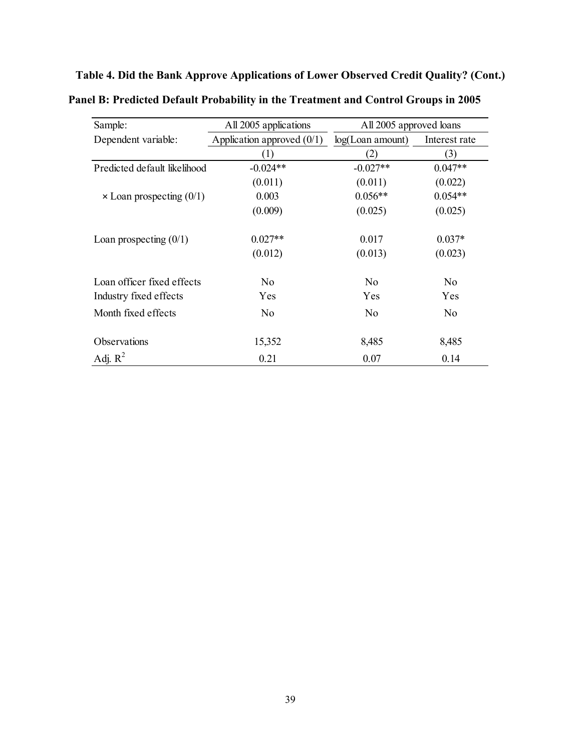**Table 4. Did the Bank Approve Applications of Lower Observed Credit Quality? (Cont.)** 

| Sample:                           | All 2005 applications        | All 2005 approved loans |                |  |
|-----------------------------------|------------------------------|-------------------------|----------------|--|
| Dependent variable:               | Application approved $(0/1)$ | log(Loan amount)        | Interest rate  |  |
|                                   | (1)                          | (2)                     | (3)            |  |
| Predicted default likelihood      | $-0.024**$                   | $-0.027**$              | $0.047**$      |  |
|                                   | (0.011)                      | (0.011)                 | (0.022)        |  |
| $\times$ Loan prospecting $(0/1)$ | 0.003                        | $0.056**$               | $0.054**$      |  |
|                                   | (0.009)                      | (0.025)                 | (0.025)        |  |
| Loan prospecting $(0/1)$          | $0.027**$                    | 0.017                   | $0.037*$       |  |
|                                   | (0.012)                      | (0.013)                 | (0.023)        |  |
| Loan officer fixed effects        | N <sub>o</sub>               | N <sub>o</sub>          | N <sub>o</sub> |  |
| Industry fixed effects            | Yes                          | Yes                     | Yes            |  |
| Month fixed effects               | No                           | No                      | No             |  |
| Observations                      | 15,352                       | 8,485                   | 8,485          |  |
| Adj. $R^2$                        | 0.21                         | 0.07                    | 0.14           |  |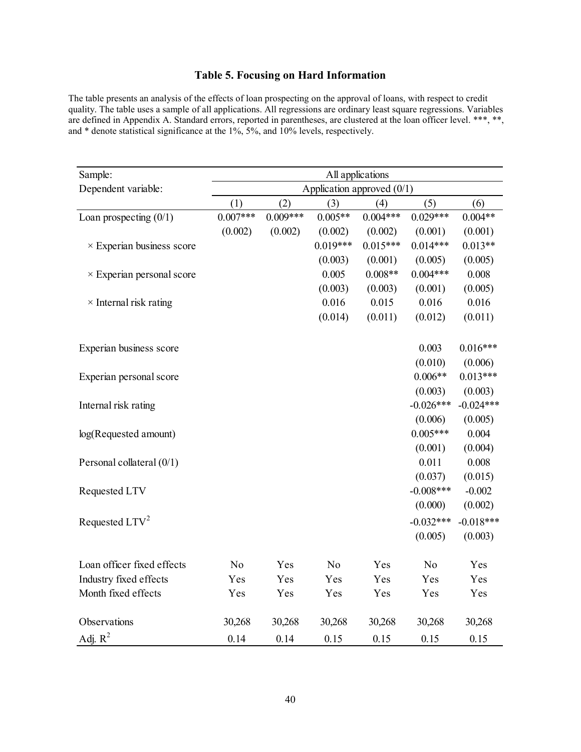## **Table 5. Focusing on Hard Information**

The table presents an analysis of the effects of loan prospecting on the approval of loans, with respect to credit quality. The table uses a sample of all applications. All regressions are ordinary least square regressions. Variables are defined in Appendix A. Standard errors, reported in parentheses, are clustered at the loan officer level. \*\*\*, \*\*, and \* denote statistical significance at the 1%, 5%, and 10% levels, respectively.

| Sample:                          | All applications |            |                              |            |                |             |
|----------------------------------|------------------|------------|------------------------------|------------|----------------|-------------|
| Dependent variable:              |                  |            | Application approved $(0/1)$ |            |                |             |
|                                  | (1)              | (2)        | (3)                          | (4)        | (5)            | (6)         |
| Loan prospecting $(0/1)$         | $0.007***$       | $0.009***$ | $0.005**$                    | $0.004***$ | $0.029***$     | $0.004**$   |
|                                  | (0.002)          | (0.002)    | (0.002)                      | (0.002)    | (0.001)        | (0.001)     |
| $\times$ Experian business score |                  |            | $0.019***$                   | $0.015***$ | $0.014***$     | $0.013**$   |
|                                  |                  |            | (0.003)                      | (0.001)    | (0.005)        | (0.005)     |
| $\times$ Experian personal score |                  |            | 0.005                        | $0.008**$  | $0.004***$     | 0.008       |
|                                  |                  |            | (0.003)                      | (0.003)    | (0.001)        | (0.005)     |
| $\times$ Internal risk rating    |                  |            | 0.016                        | 0.015      | 0.016          | 0.016       |
|                                  |                  |            | (0.014)                      | (0.011)    | (0.012)        | (0.011)     |
| Experian business score          |                  |            |                              |            | 0.003          | $0.016***$  |
|                                  |                  |            |                              |            | (0.010)        | (0.006)     |
| Experian personal score          |                  |            |                              |            | $0.006**$      | $0.013***$  |
|                                  |                  |            |                              |            | (0.003)        | (0.003)     |
| Internal risk rating             |                  |            |                              |            | $-0.026***$    | $-0.024***$ |
|                                  |                  |            |                              |            | (0.006)        | (0.005)     |
| log(Requested amount)            |                  |            |                              |            | $0.005***$     | 0.004       |
|                                  |                  |            |                              |            | (0.001)        | (0.004)     |
| Personal collateral (0/1)        |                  |            |                              |            | 0.011          | 0.008       |
|                                  |                  |            |                              |            | (0.037)        | (0.015)     |
| Requested LTV                    |                  |            |                              |            | $-0.008***$    | $-0.002$    |
|                                  |                  |            |                              |            | (0.000)        | (0.002)     |
| Requested $LTV^2$                |                  |            |                              |            | $-0.032***$    | $-0.018***$ |
|                                  |                  |            |                              |            | (0.005)        | (0.003)     |
| Loan officer fixed effects       | N <sub>o</sub>   | Yes        | N <sub>o</sub>               | Yes        | N <sub>o</sub> | Yes         |
| Industry fixed effects           | Yes              | Yes        | Yes                          | Yes        | Yes            | Yes         |
| Month fixed effects              | Yes              | Yes        | Yes                          | Yes        | Yes            | Yes         |
| Observations                     | 30,268           | 30,268     | 30,268                       | 30,268     | 30,268         | 30,268      |
| Adj. $R^2$                       | 0.14             | 0.14       | 0.15                         | 0.15       | 0.15           | 0.15        |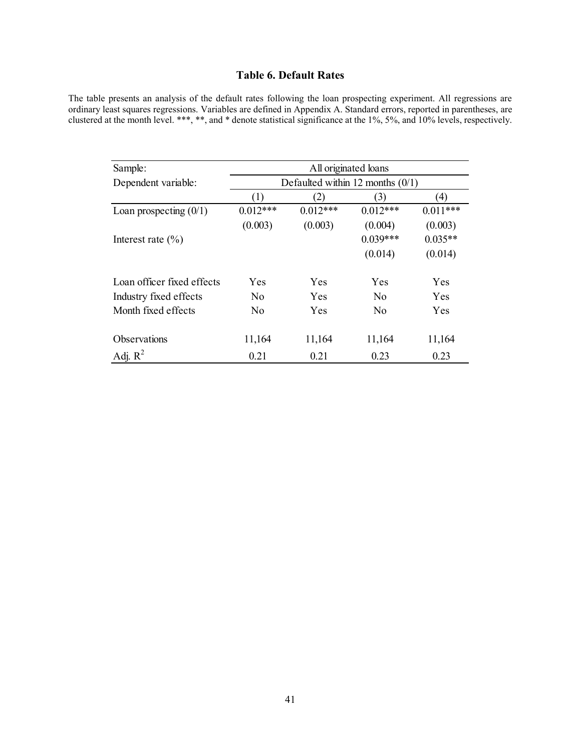# **Table 6. Default Rates**

The table presents an analysis of the default rates following the loan prospecting experiment. All regressions are ordinary least squares regressions. Variables are defined in Appendix A. Standard errors, reported in parentheses, are clustered at the month level. \*\*\*, \*\*, and \* denote statistical significance at the 1%, 5%, and 10% levels, respectively.

| Sample:                    |                  |            | All originated loans               |                   |
|----------------------------|------------------|------------|------------------------------------|-------------------|
| Dependent variable:        |                  |            | Defaulted within 12 months $(0/1)$ |                   |
|                            | $\left(1\right)$ | (2)        | (3)                                | $\left( 4\right)$ |
| Loan prospecting $(0/1)$   | $0.012***$       | $0.012***$ | $0.012***$                         | $0.011***$        |
|                            | (0.003)          | (0.003)    | (0.004)                            | (0.003)           |
| Interest rate $(\% )$      |                  |            | $0.039***$                         | $0.035**$         |
|                            |                  |            | (0.014)                            | (0.014)           |
| Loan officer fixed effects | Yes              | Yes        | Yes                                | Yes               |
| Industry fixed effects     | N <sub>0</sub>   | <b>Yes</b> | N <sub>o</sub>                     | Yes               |
| Month fixed effects        | N <sub>0</sub>   | Yes        | N <sub>o</sub>                     | Yes               |
| Observations               | 11,164           | 11,164     | 11,164                             | 11,164            |
| Adj. $R^2$                 | 0.21             | 0.21       | 0.23                               | 0.23              |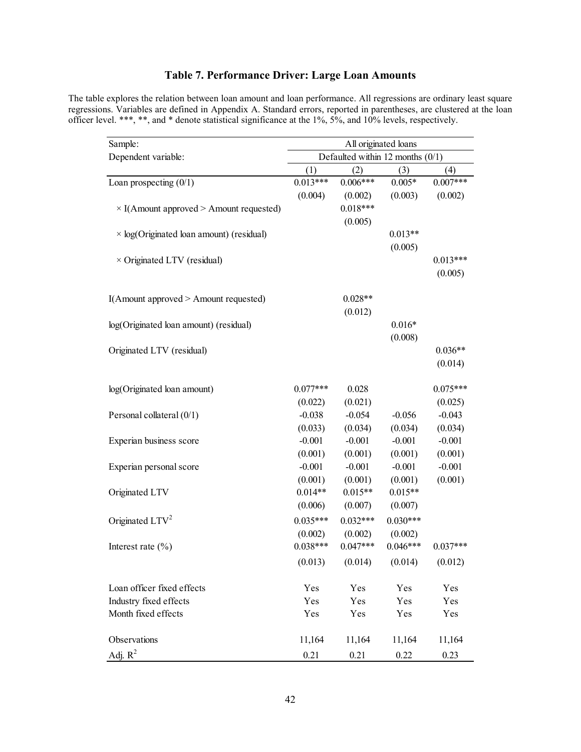## **Table 7. Performance Driver: Large Loan Amounts**

The table explores the relation between loan amount and loan performance. All regressions are ordinary least square regressions. Variables are defined in Appendix A. Standard errors, reported in parentheses, are clustered at the loan officer level. \*\*\*, \*\*, and \* denote statistical significance at the 1%, 5%, and 10% levels, respectively.

| Sample:                                         | All originated loans               |            |            |            |  |  |
|-------------------------------------------------|------------------------------------|------------|------------|------------|--|--|
| Dependent variable:                             | Defaulted within 12 months $(0/1)$ |            |            |            |  |  |
|                                                 | (1)                                | (2)        | (3)        | (4)        |  |  |
| Loan prospecting $(0/1)$                        | $0.013***$                         | $0.006***$ | $0.005*$   | $0.007***$ |  |  |
|                                                 | (0.004)                            | (0.002)    | (0.003)    | (0.002)    |  |  |
| $\times$ I(Amount approved > Amount requested)  |                                    | $0.018***$ |            |            |  |  |
|                                                 |                                    | (0.005)    |            |            |  |  |
| $\times$ log(Originated loan amount) (residual) |                                    |            | $0.013**$  |            |  |  |
|                                                 |                                    |            | (0.005)    |            |  |  |
| $\times$ Originated LTV (residual)              |                                    |            |            | $0.013***$ |  |  |
|                                                 |                                    |            |            | (0.005)    |  |  |
|                                                 |                                    |            |            |            |  |  |
| I(Amount approved > Amount requested)           |                                    | $0.028**$  |            |            |  |  |
|                                                 |                                    | (0.012)    |            |            |  |  |
| log(Originated loan amount) (residual)          |                                    |            | $0.016*$   |            |  |  |
|                                                 |                                    |            | (0.008)    |            |  |  |
| Originated LTV (residual)                       |                                    |            |            | $0.036**$  |  |  |
|                                                 |                                    |            |            | (0.014)    |  |  |
|                                                 |                                    |            |            |            |  |  |
| log(Originated loan amount)                     | $0.077***$                         | 0.028      |            | $0.075***$ |  |  |
|                                                 | (0.022)                            | (0.021)    |            | (0.025)    |  |  |
| Personal collateral (0/1)                       | $-0.038$                           | $-0.054$   | $-0.056$   | $-0.043$   |  |  |
|                                                 | (0.033)                            | (0.034)    | (0.034)    | (0.034)    |  |  |
| Experian business score                         | $-0.001$                           | $-0.001$   | $-0.001$   | $-0.001$   |  |  |
|                                                 | (0.001)                            | (0.001)    | (0.001)    | (0.001)    |  |  |
| Experian personal score                         | $-0.001$                           | $-0.001$   | $-0.001$   | $-0.001$   |  |  |
|                                                 | (0.001)                            | (0.001)    | (0.001)    | (0.001)    |  |  |
| Originated LTV                                  | $0.014**$                          | $0.015**$  | $0.015**$  |            |  |  |
|                                                 | (0.006)                            | (0.007)    | (0.007)    |            |  |  |
| Originated $LTV^2$                              | $0.035***$                         | $0.032***$ | $0.030***$ |            |  |  |
|                                                 | (0.002)                            | (0.002)    | (0.002)    |            |  |  |
| Interest rate $(\% )$                           | $0.038***$                         | $0.047***$ | $0.046***$ | $0.037***$ |  |  |
|                                                 | (0.013)                            | (0.014)    | (0.014)    | (0.012)    |  |  |
| Loan officer fixed effects                      | Yes                                | Yes        | Yes        | Yes        |  |  |
| Industry fixed effects                          | Yes                                | Yes        | Yes        | Yes        |  |  |
| Month fixed effects                             | Yes                                | Yes        | Yes        | Yes        |  |  |
|                                                 |                                    |            |            |            |  |  |
| Observations                                    | 11,164                             | 11,164     | 11,164     | 11,164     |  |  |
| Adj. $R^2$                                      | 0.21                               | 0.21       | 0.22       | 0.23       |  |  |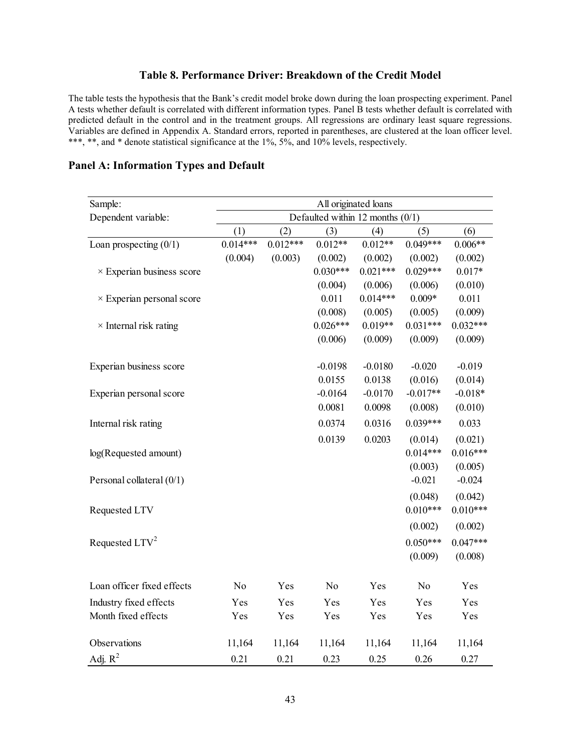### **Table 8. Performance Driver: Breakdown of the Credit Model**

The table tests the hypothesis that the Bank's credit model broke down during the loan prospecting experiment. Panel A tests whether default is correlated with different information types. Panel B tests whether default is correlated with predicted default in the control and in the treatment groups. All regressions are ordinary least square regressions. Variables are defined in Appendix A. Standard errors, reported in parentheses, are clustered at the loan officer level. \*\*\*, \*\*, and \* denote statistical significance at the 1%, 5%, and 10% levels, respectively.

| Sample:                          | All originated loans               |            |                |            |                |            |  |  |
|----------------------------------|------------------------------------|------------|----------------|------------|----------------|------------|--|--|
| Dependent variable:              | Defaulted within 12 months $(0/1)$ |            |                |            |                |            |  |  |
|                                  | (1)                                | (2)        | (3)            | (4)        | (5)            | (6)        |  |  |
| Loan prospecting $(0/1)$         | $0.014***$                         | $0.012***$ | $0.012**$      | $0.012**$  | $0.049***$     | $0.006**$  |  |  |
|                                  | (0.004)                            | (0.003)    | (0.002)        | (0.002)    | (0.002)        | (0.002)    |  |  |
| $\times$ Experian business score |                                    |            | $0.030***$     | $0.021***$ | $0.029***$     | $0.017*$   |  |  |
|                                  |                                    |            | (0.004)        | (0.006)    | (0.006)        | (0.010)    |  |  |
| $\times$ Experian personal score |                                    |            | 0.011          | $0.014***$ | $0.009*$       | 0.011      |  |  |
|                                  |                                    |            | (0.008)        | (0.005)    | (0.005)        | (0.009)    |  |  |
| $\times$ Internal risk rating    |                                    |            | $0.026***$     | $0.019**$  | $0.031***$     | $0.032***$ |  |  |
|                                  |                                    |            | (0.006)        | (0.009)    | (0.009)        | (0.009)    |  |  |
| Experian business score          |                                    |            | $-0.0198$      | $-0.0180$  | $-0.020$       | $-0.019$   |  |  |
|                                  |                                    |            | 0.0155         | 0.0138     | (0.016)        | (0.014)    |  |  |
| Experian personal score          |                                    |            | $-0.0164$      | $-0.0170$  | $-0.017**$     | $-0.018*$  |  |  |
|                                  |                                    |            | 0.0081         | 0.0098     | (0.008)        | (0.010)    |  |  |
| Internal risk rating             |                                    |            | 0.0374         | 0.0316     | $0.039***$     | 0.033      |  |  |
|                                  |                                    |            | 0.0139         | 0.0203     | (0.014)        | (0.021)    |  |  |
| log(Requested amount)            |                                    |            |                |            | $0.014***$     | $0.016***$ |  |  |
|                                  |                                    |            |                |            | (0.003)        | (0.005)    |  |  |
| Personal collateral (0/1)        |                                    |            |                |            | $-0.021$       | $-0.024$   |  |  |
|                                  |                                    |            |                |            | (0.048)        | (0.042)    |  |  |
| Requested LTV                    |                                    |            |                |            | $0.010***$     | $0.010***$ |  |  |
|                                  |                                    |            |                |            | (0.002)        | (0.002)    |  |  |
| Requested LTV <sup>2</sup>       |                                    |            |                |            | $0.050***$     | $0.047***$ |  |  |
|                                  |                                    |            |                |            | (0.009)        | (0.008)    |  |  |
| Loan officer fixed effects       | N <sub>o</sub>                     | Yes        | N <sub>o</sub> | Yes        | N <sub>o</sub> | Yes        |  |  |
| Industry fixed effects           | Yes                                | Yes        | Yes            | Yes        | Yes            | Yes        |  |  |
| Month fixed effects              | Yes                                | Yes        | Yes            | Yes        | Yes            | Yes        |  |  |
|                                  |                                    |            |                |            |                |            |  |  |
| Observations                     | 11,164                             | 11,164     | 11,164         | 11,164     | 11,164         | 11,164     |  |  |
| Adj. $R^2$                       | 0.21                               | 0.21       | 0.23           | 0.25       | 0.26           | 0.27       |  |  |

#### **Panel A: Information Types and Default**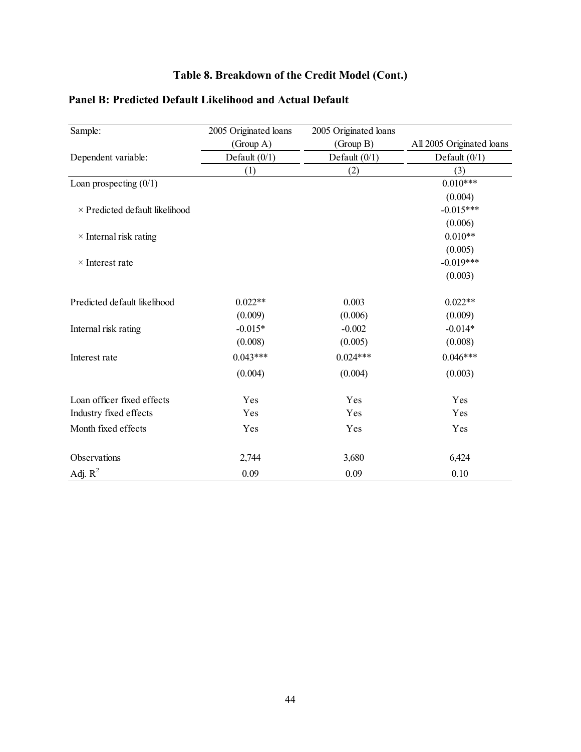# **Table 8. Breakdown of the Credit Model (Cont.)**

| Sample:                               | 2005 Originated loans | 2005 Originated loans |                           |
|---------------------------------------|-----------------------|-----------------------|---------------------------|
|                                       | (Group A)             | (Group B)             | All 2005 Originated loans |
| Dependent variable:                   | Default $(0/1)$       | Default $(0/1)$       | Default $(0/1)$           |
|                                       | (1)                   | (2)                   | (3)                       |
| Loan prospecting $(0/1)$              |                       |                       | $0.010***$                |
|                                       |                       |                       | (0.004)                   |
| $\times$ Predicted default likelihood |                       |                       | $-0.015***$               |
|                                       |                       |                       | (0.006)                   |
| $\times$ Internal risk rating         |                       |                       | $0.010**$                 |
|                                       |                       |                       | (0.005)                   |
| $\times$ Interest rate                |                       |                       | $-0.019***$               |
|                                       |                       |                       | (0.003)                   |
| Predicted default likelihood          | $0.022**$             | 0.003                 | $0.022**$                 |
|                                       | (0.009)               | (0.006)               | (0.009)                   |
| Internal risk rating                  | $-0.015*$             | $-0.002$              | $-0.014*$                 |
|                                       | (0.008)               | (0.005)               | (0.008)                   |
| Interest rate                         | $0.043***$            | $0.024***$            | $0.046***$                |
|                                       | (0.004)               | (0.004)               | (0.003)                   |
| Loan officer fixed effects            | Yes                   | Yes                   | Yes                       |
| Industry fixed effects                | Yes                   | Yes                   | Yes                       |
| Month fixed effects                   | Yes                   | Yes                   | Yes                       |
| Observations                          | 2,744                 | 3,680                 | 6,424                     |
| Adj. $R^2$                            | 0.09                  | 0.09                  | 0.10                      |

# **Panel B: Predicted Default Likelihood and Actual Default**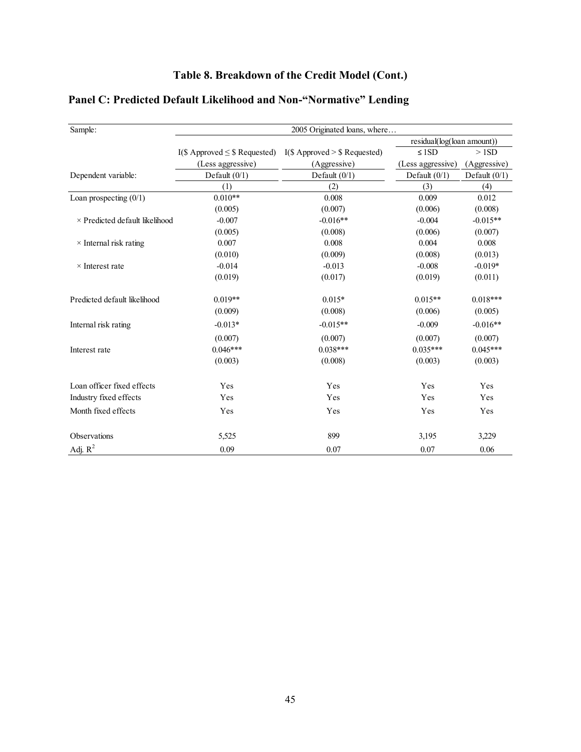# **Table 8. Breakdown of the Credit Model (Cont.)**

| Sample:                               |                                    | 2005 Originated loans, where   |                            |                 |
|---------------------------------------|------------------------------------|--------------------------------|----------------------------|-----------------|
|                                       |                                    |                                | residual(log(loan amount)) |                 |
|                                       | I(\$ Approved $\leq$ \$ Requested) | $I(S$ Approved > \$ Requested) | $\leq 1SD$                 | >1SD            |
|                                       | (Less aggressive)                  | (Aggressive)                   | (Less aggressive)          | (Aggressive)    |
| Dependent variable:                   | Default $(0/1)$                    | Default $(0/1)$                | Default $(0/1)$            | Default $(0/1)$ |
|                                       | (1)                                | (2)                            | (3)                        | (4)             |
| Loan prospecting $(0/1)$              | $0.010**$                          | 0.008                          | 0.009                      | 0.012           |
|                                       | (0.005)                            | (0.007)                        | (0.006)                    | (0.008)         |
| $\times$ Predicted default likelihood | $-0.007$                           | $-0.016**$                     | $-0.004$                   | $-0.015**$      |
|                                       | (0.005)                            | (0.008)                        | (0.006)                    | (0.007)         |
| $\times$ Internal risk rating         | 0.007                              | 0.008                          | 0.004                      | 0.008           |
|                                       | (0.010)                            | (0.009)                        | (0.008)                    | (0.013)         |
| $\times$ Interest rate                | $-0.014$                           | $-0.013$                       | $-0.008$                   | $-0.019*$       |
|                                       | (0.019)                            | (0.017)                        | (0.019)                    | (0.011)         |
| Predicted default likelihood          | $0.019**$                          | $0.015*$                       | $0.015**$                  | $0.018***$      |
|                                       | (0.009)                            | (0.008)                        | (0.006)                    | (0.005)         |
| Internal risk rating                  | $-0.013*$                          | $-0.015**$                     | $-0.009$                   | $-0.016**$      |
|                                       | (0.007)                            | (0.007)                        | (0.007)                    | (0.007)         |
| Interest rate                         | $0.046***$                         | $0.038***$                     | $0.035***$                 | $0.045***$      |
|                                       | (0.003)                            | (0.008)                        | (0.003)                    | (0.003)         |
| Loan officer fixed effects            | Yes                                | Yes                            | Yes                        | Yes             |
| Industry fixed effects                | Yes                                | Yes                            | Yes                        | Yes             |
| Month fixed effects                   | Yes                                | Yes                            | Yes                        | Yes             |
| Observations                          | 5,525                              | 899                            | 3,195                      | 3,229           |
| Adj. $R^2$                            | 0.09                               | 0.07                           | 0.07                       | 0.06            |

# **Panel C: Predicted Default Likelihood and Non-"Normative" Lending**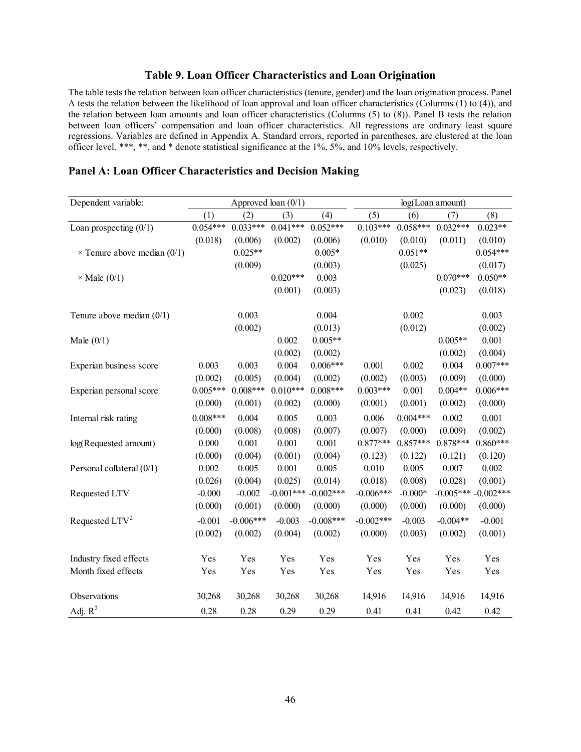### **Table 9. Loan Officer Characteristics and Loan Origination**

The table tests the relation between loan officer characteristics (tenure, gender) and the loan origination process. Panel A tests the relation between the likelihood of loan approval and loan officer characteristics (Columns (1) to (4)), and the relation between loan amounts and loan officer characteristics (Columns (5) to (8)). Panel B tests the relation between loan officers' compensation and loan officer characteristics. All regressions are ordinary least square regressions. Variables are defined in Appendix A. Standard errors, reported in parentheses, are clustered at the loan officer level. \*\*\*, \*\*, and \* denote statistical significance at the 1%, 5%, and 10% levels, respectively.

| Dependent variable:                | Approved loan $(0/1)$ |             |             |             | log(Loan amount) |            |             |             |
|------------------------------------|-----------------------|-------------|-------------|-------------|------------------|------------|-------------|-------------|
|                                    | (1)                   | (2)         | (3)         | (4)         | (5)              | (6)        | (7)         | (8)         |
| Loan prospecting $(0/1)$           | $0.054***$            | $0.033***$  | $0.041***$  | $0.052***$  | $0.103***$       | $0.058***$ | $0.032***$  | $0.023**$   |
|                                    | (0.018)               | (0.006)     | (0.002)     | (0.006)     | (0.010)          | (0.010)    | (0.011)     | (0.010)     |
| $\times$ Tenure above median (0/1) |                       | $0.025**$   |             | $0.005*$    |                  | $0.051**$  |             | $0.054***$  |
|                                    |                       | (0.009)     |             | (0.003)     |                  | (0.025)    |             | (0.017)     |
| $\times$ Male (0/1)                |                       |             | $0.020***$  | 0.003       |                  |            | $0.070***$  | $0.050**$   |
|                                    |                       |             | (0.001)     | (0.003)     |                  |            | (0.023)     | (0.018)     |
| Tenure above median $(0/1)$        |                       | 0.003       |             | 0.004       |                  | 0.002      |             | 0.003       |
|                                    |                       | (0.002)     |             | (0.013)     |                  | (0.012)    |             | (0.002)     |
| Male $(0/1)$                       |                       |             | 0.002       | $0.005**$   |                  |            | $0.005**$   | 0.001       |
|                                    |                       |             | (0.002)     | (0.002)     |                  |            | (0.002)     | (0.004)     |
| Experian business score            | 0.003                 | 0.003       | 0.004       | $0.006***$  | 0.001            | 0.002      | 0.004       | $0.007***$  |
|                                    | (0.002)               | (0.005)     | (0.004)     | (0.002)     | (0.002)          | (0.003)    | (0.009)     | (0.000)     |
| Experian personal score            | $0.005***$            | $0.008***$  | $0.010***$  | $0.008***$  | $0.003***$       | 0.001      | $0.004**$   | $0.006***$  |
|                                    | (0.000)               | (0.001)     | (0.002)     | (0.000)     | (0.001)          | (0.001)    | (0.002)     | (0.000)     |
| Internal risk rating               | $0.008***$            | 0.004       | 0.005       | 0.003       | 0.006            | $0.004***$ | 0.002       | 0.001       |
|                                    | (0.000)               | (0.008)     | (0.008)     | (0.007)     | (0.007)          | (0.000)    | (0.009)     | (0.002)     |
| log(Requested amount)              | 0.000                 | 0.001       | 0.001       | 0.001       | $0.877***$       | $0.857***$ | $0.878***$  | $0.860***$  |
|                                    | (0.000)               | (0.004)     | (0.001)     | (0.004)     | (0.123)          | (0.122)    | (0.121)     | (0.120)     |
| Personal collateral (0/1)          | 0.002                 | 0.005       | 0.001       | 0.005       | 0.010            | 0.005      | 0.007       | 0.002       |
|                                    | (0.026)               | (0.004)     | (0.025)     | (0.014)     | (0.018)          | (0.008)    | (0.028)     | (0.001)     |
| Requested LTV                      | $-0.000$              | $-0.002$    | $-0.001***$ | $-0.002***$ | $-0.006***$      | $-0.000*$  | $-0.005***$ | $-0.002***$ |
|                                    | (0.000)               | (0.001)     | (0.000)     | (0.000)     | (0.000)          | (0.000)    | (0.000)     | (0.000)     |
| Requested LTV <sup>2</sup>         | $-0.001$              | $-0.006***$ | $-0.003$    | $-0.008***$ | $-0.002***$      | $-0.003$   | $-0.004**$  | $-0.001$    |
|                                    | (0.002)               | (0.002)     | (0.004)     | (0.002)     | (0.000)          | (0.003)    | (0.002)     | (0.001)     |
| Industry fixed effects             | Yes                   | Yes         | Yes         | Yes         | Yes              | Yes        | Yes         | Yes         |
| Month fixed effects                | Yes                   | Yes         | Yes         | Yes         | Yes              | Yes        | Yes         | Yes         |
| Observations                       | 30,268                | 30,268      | 30,268      | 30,268      | 14,916           | 14,916     | 14,916      | 14,916      |
| Adj. $R^2$                         | 0.28                  | 0.28        | 0.29        | 0.29        | 0.41             | 0.41       | 0.42        | 0.42        |

#### **Panel A: Loan Officer Characteristics and Decision Making**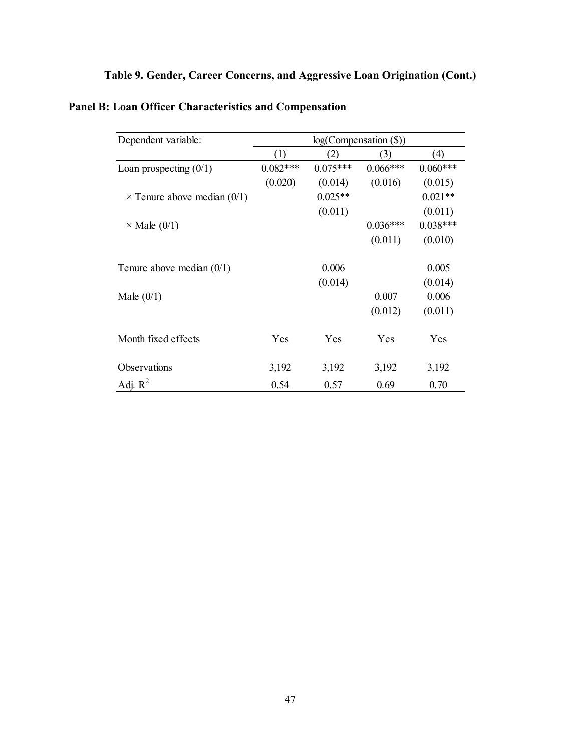# **Table 9. Gender, Career Concerns, and Aggressive Loan Origination (Cont.)**

| Dependent variable:                | log(Comparison (S)) |            |            |            |  |  |  |
|------------------------------------|---------------------|------------|------------|------------|--|--|--|
|                                    | (1)                 | 2)         | (3)        | (4)        |  |  |  |
| Loan prospecting $(0/1)$           | $0.082***$          | $0.075***$ | $0.066***$ | $0.060***$ |  |  |  |
|                                    | (0.020)             | (0.014)    | (0.016)    | (0.015)    |  |  |  |
| $\times$ Tenure above median (0/1) |                     | $0.025**$  |            | $0.021**$  |  |  |  |
|                                    |                     | (0.011)    |            | (0.011)    |  |  |  |
| $\times$ Male (0/1)                |                     |            | $0.036***$ | $0.038***$ |  |  |  |
|                                    |                     |            | (0.011)    | (0.010)    |  |  |  |
| Tenure above median $(0/1)$        |                     | 0.006      |            | 0.005      |  |  |  |
|                                    |                     | (0.014)    |            | (0.014)    |  |  |  |
| Male $(0/1)$                       |                     |            | 0.007      | 0.006      |  |  |  |
|                                    |                     |            | (0.012)    | (0.011)    |  |  |  |
| Month fixed effects                | Yes                 | Yes        | Yes        | Yes        |  |  |  |
| Observations                       | 3,192               | 3,192      | 3,192      | 3,192      |  |  |  |
| Adj. $R^2$                         | 0.54                | 0.57       | 0.69       | 0.70       |  |  |  |

# **Panel B: Loan Officer Characteristics and Compensation**